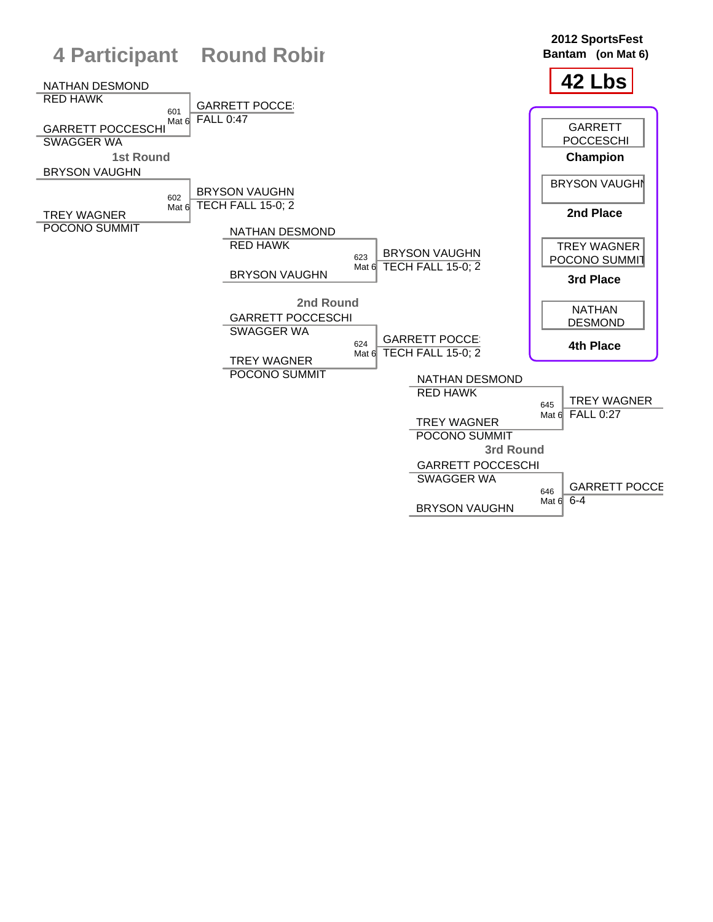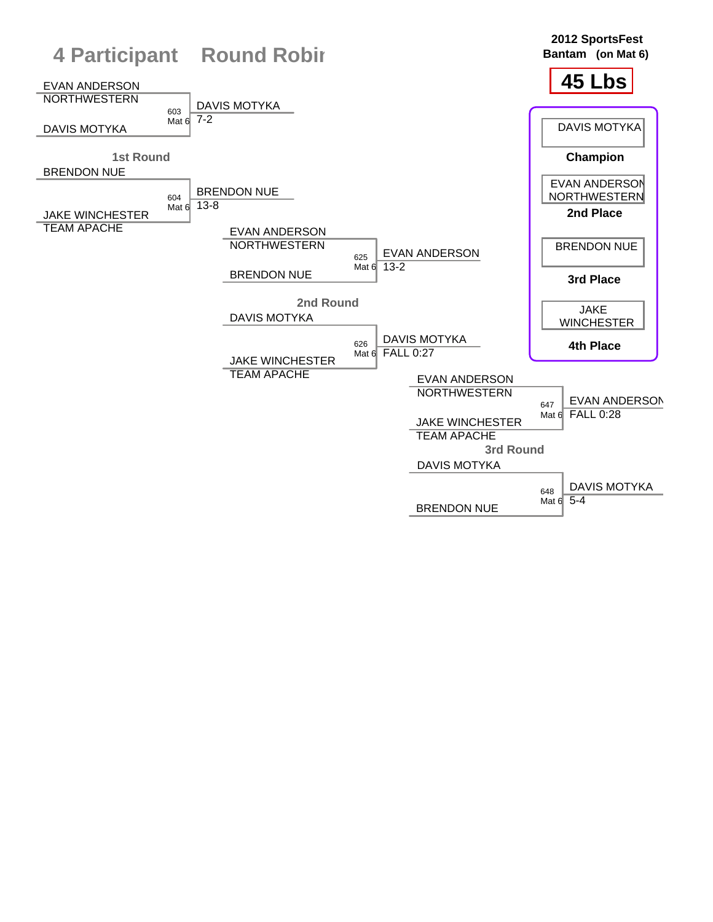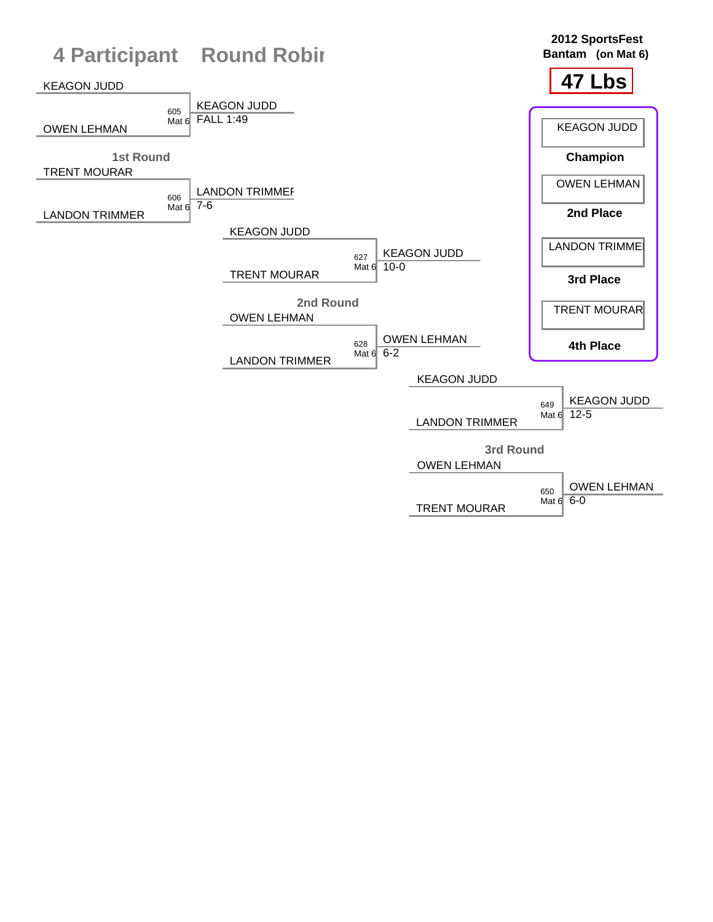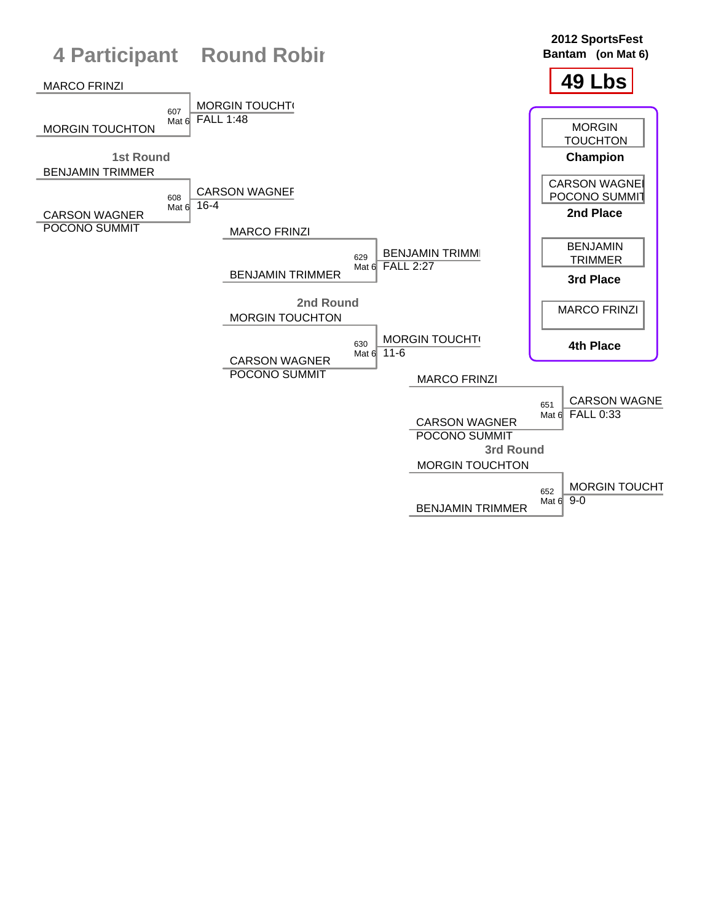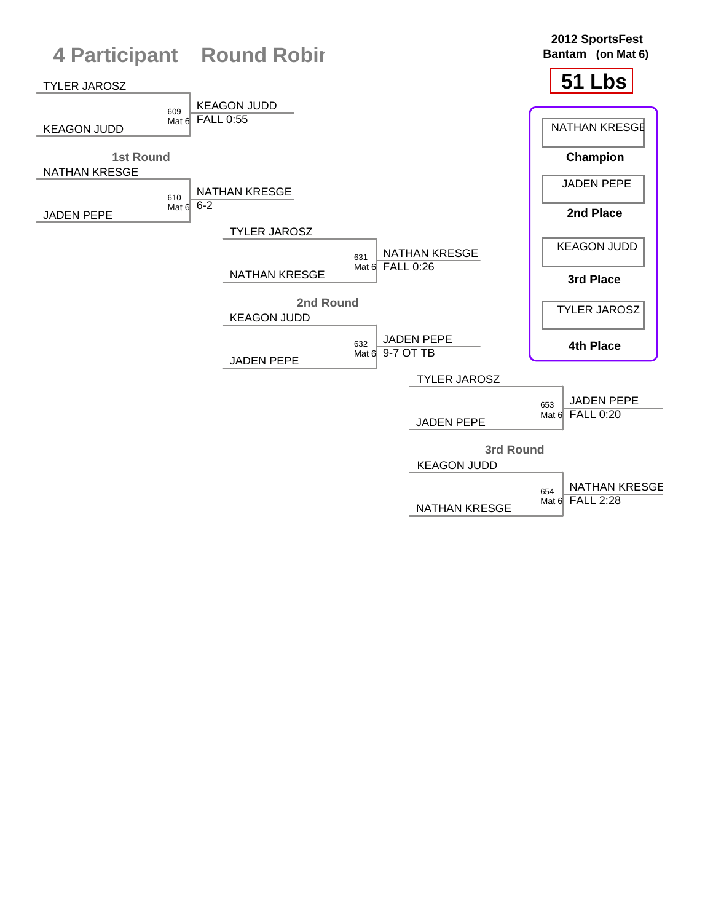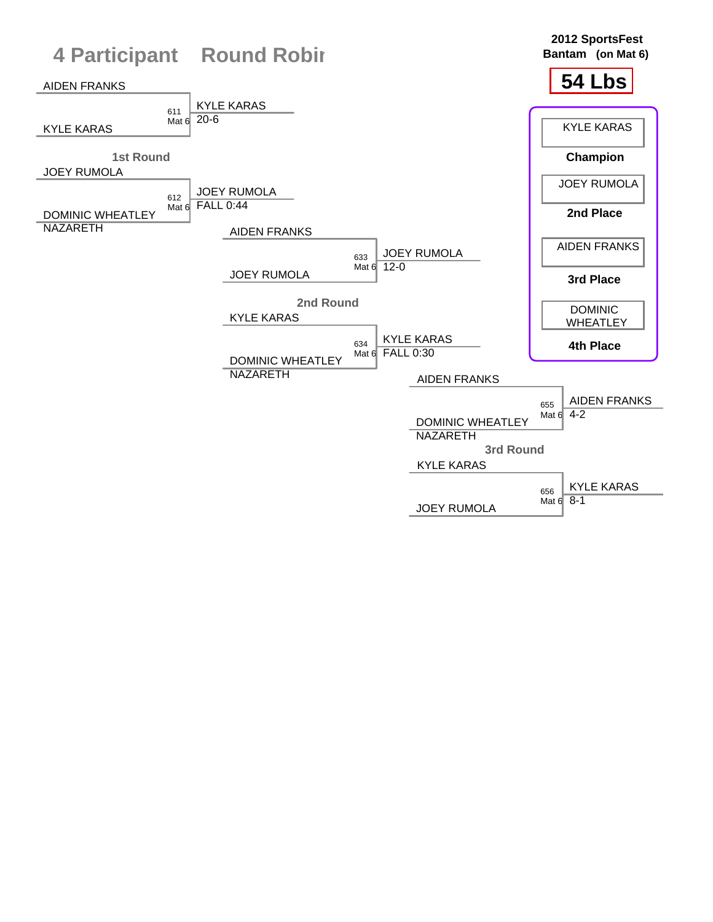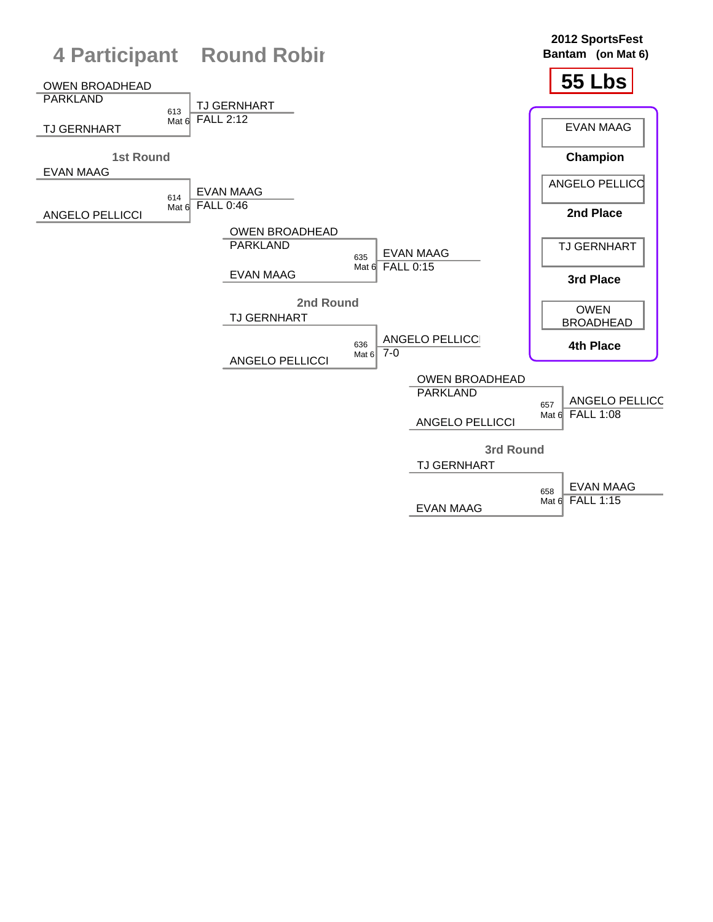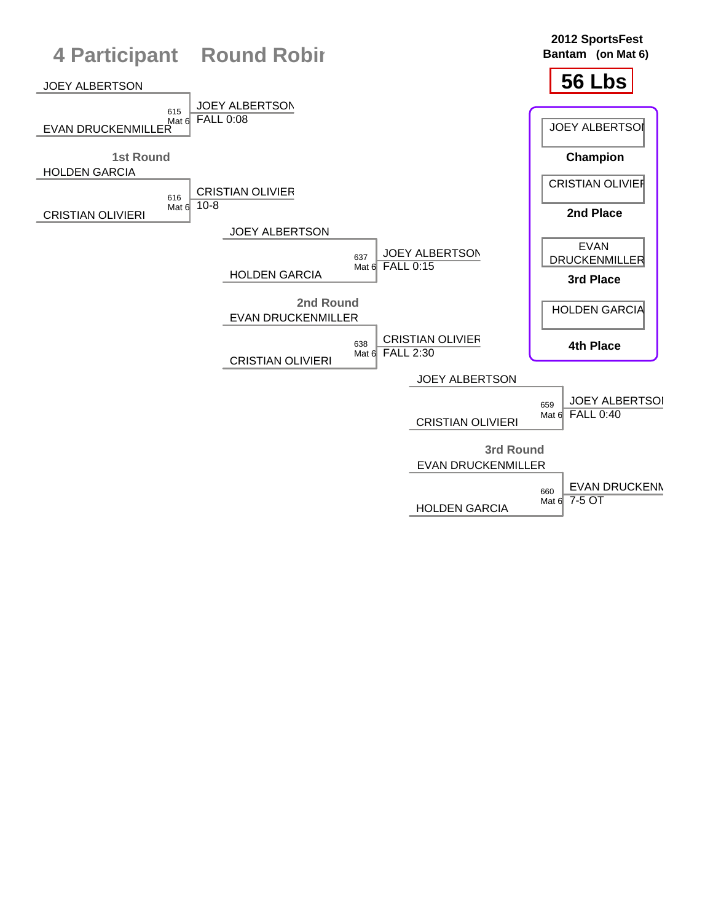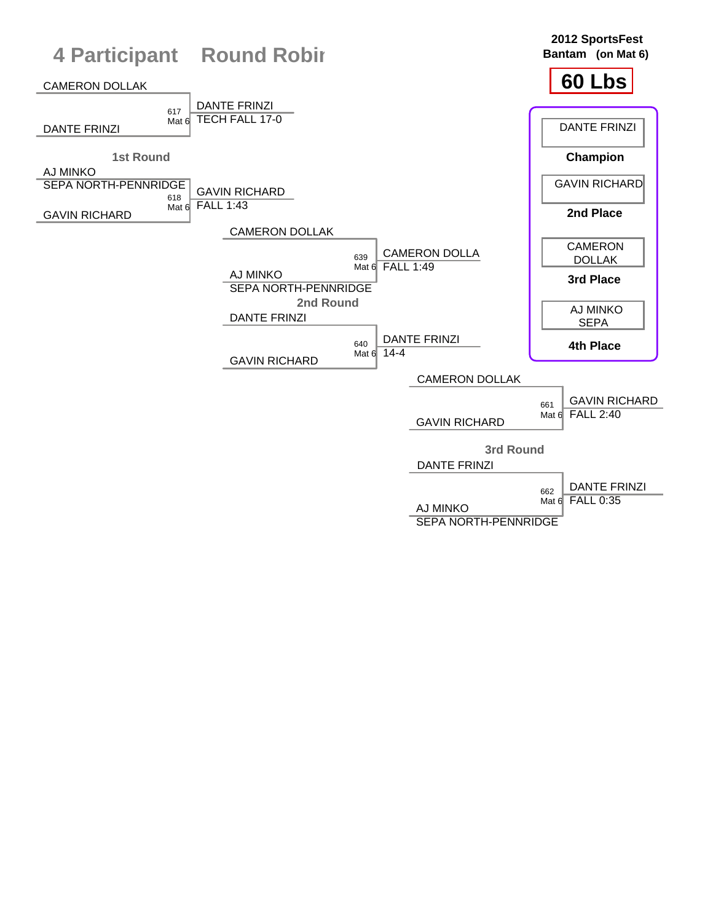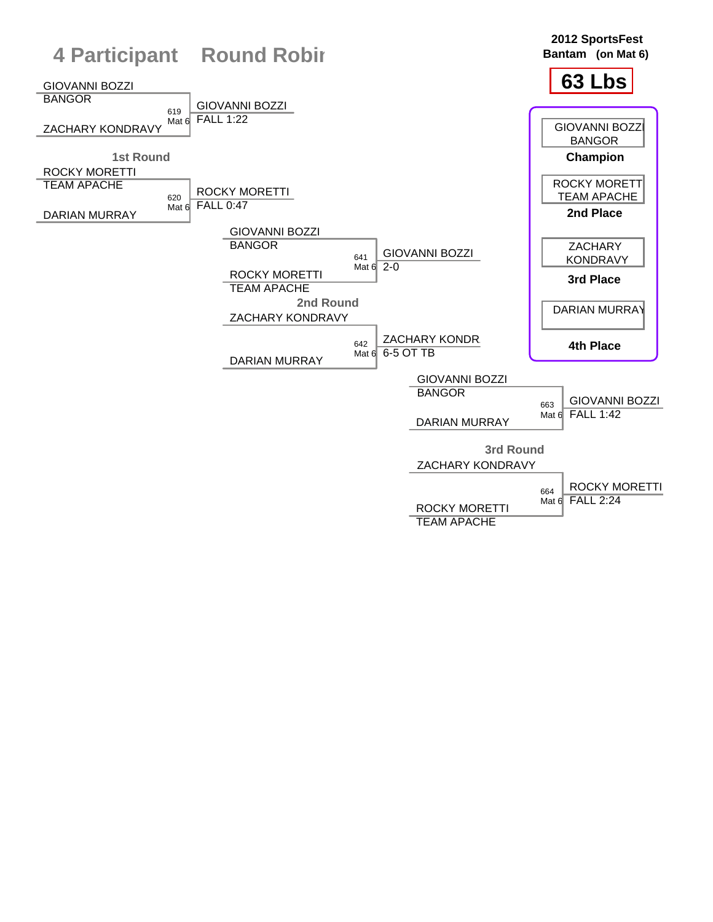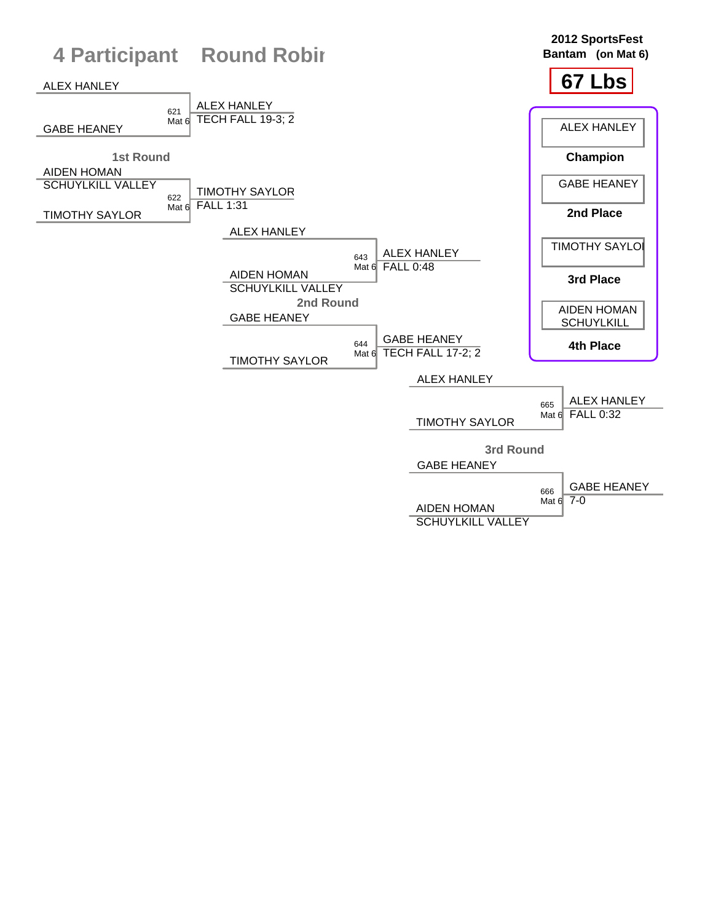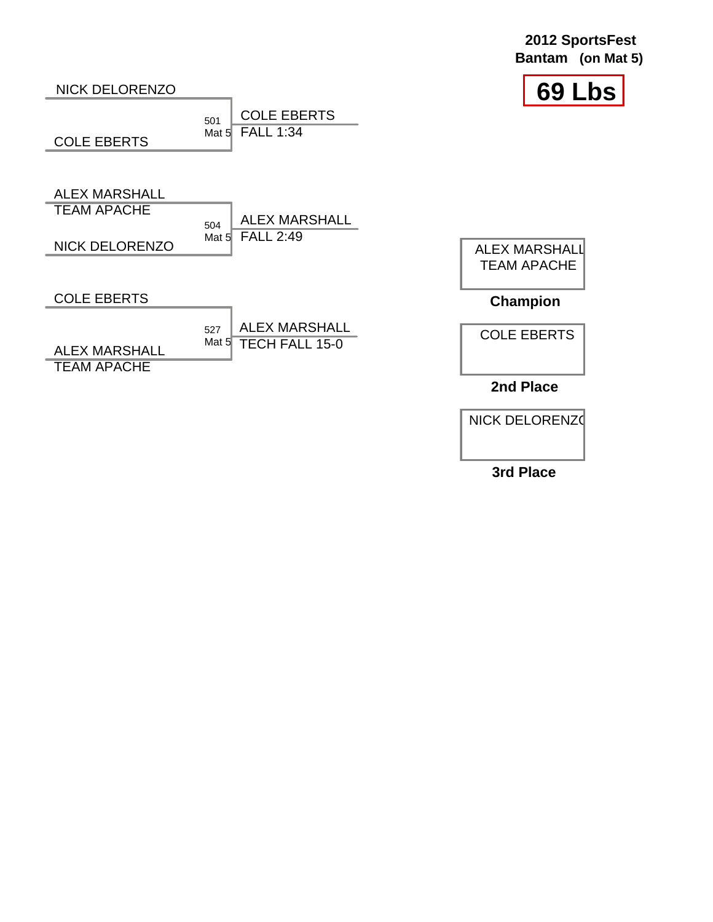|                                            |                                                                      | (on Mat 5)<br><b>Bantam</b>                |
|--------------------------------------------|----------------------------------------------------------------------|--------------------------------------------|
| <b>NICK DELORENZO</b>                      |                                                                      | 69 Lbs                                     |
| <b>COLE EBERTS</b>                         | <b>COLE EBERTS</b><br>501<br><b>FALL 1:34</b><br>Mat $5l$            |                                            |
| <b>ALEX MARSHALL</b><br><b>TEAM APACHE</b> | <b>ALEX MARSHALL</b><br>504                                          |                                            |
| <b>NICK DELORENZO</b>                      | <b>FALL 2:49</b><br>Mat $5$                                          | <b>ALEX MARSHALL</b><br><b>TEAM APACHE</b> |
| <b>COLE EBERTS</b>                         |                                                                      | <b>Champion</b>                            |
| <b>ALEX MARSHALL</b><br><b>TEAM APACHE</b> | <b>ALEX MARSHALL</b><br>527<br>Mat $5\vert$<br><b>TECH FALL 15-0</b> | <b>COLE EBERTS</b>                         |
|                                            |                                                                      | 2nd Place                                  |

**2012 SportsFest**

NICK DELORENZO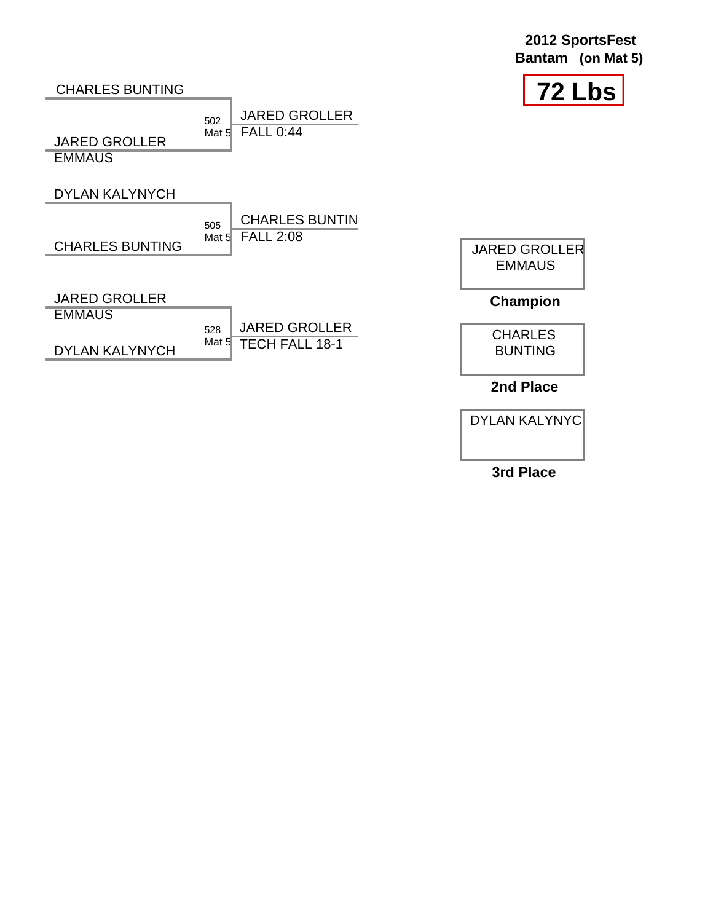| 2012 SportsFest   |  |  |
|-------------------|--|--|
| Bantam (on Mat 5) |  |  |



### CHARLES BUNTING

JARED GROLLER **EMMAUS** 

### DYLAN KALYNYCH

CHARLES BUNTING

505 CHARLES BUNTIN Mat 5 **FALL 2:08** 

JARED GROLLER

JARED GROLLER

**EMMAUS** 

|                       | $528$ JARED GROLLER  |
|-----------------------|----------------------|
| <b>DYLAN KALYNYCH</b> | Mat 5 TECH FALL 18-1 |

502

Mat 5 **FALL 0:44** 

JARED GROLLER **EMMAUS** 

## **Champion**



**2nd Place**

DYLAN KALYNYC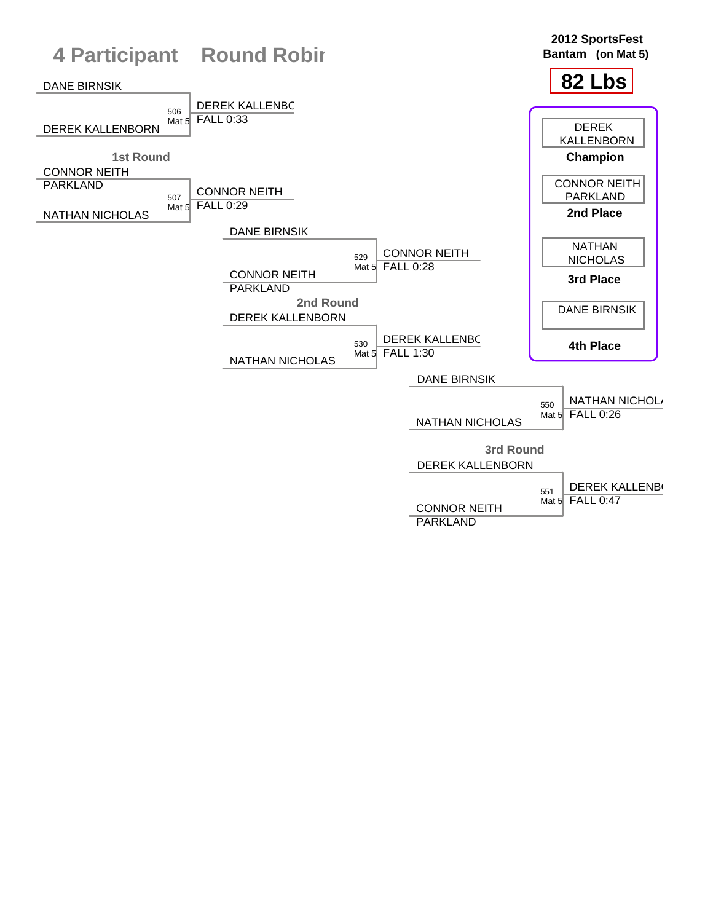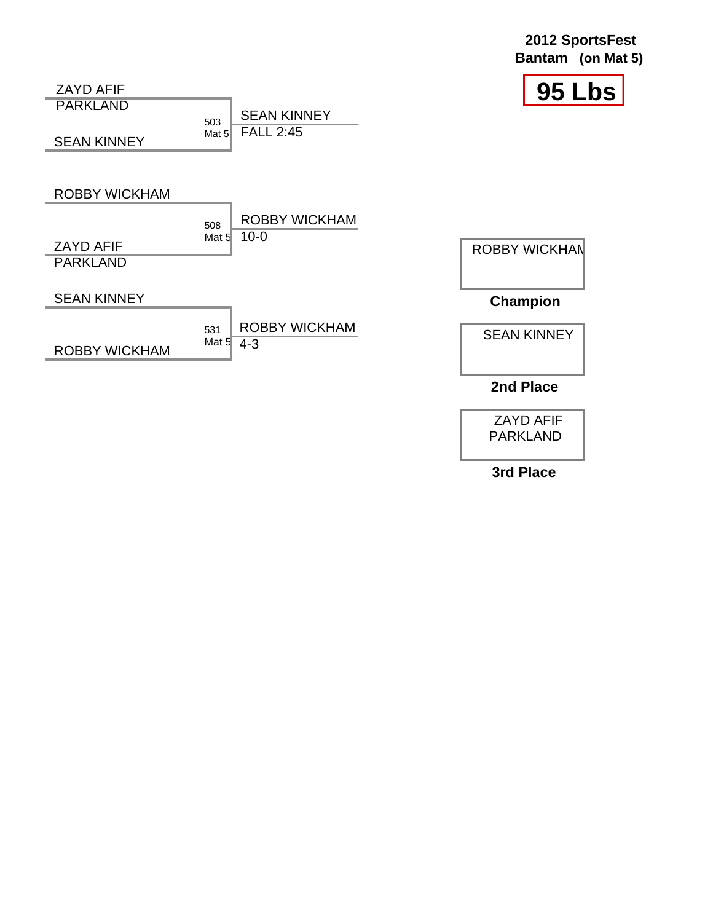| 2012 SportsFest   |  |  |
|-------------------|--|--|
| Bantam (on Mat 5) |  |  |





ZAYD AFIF PARKLAND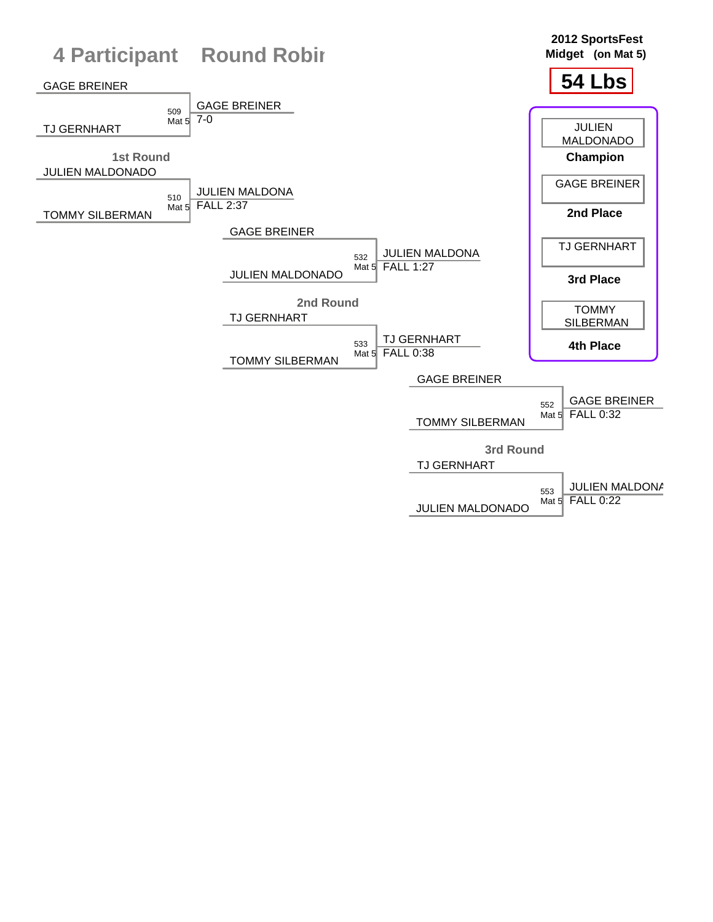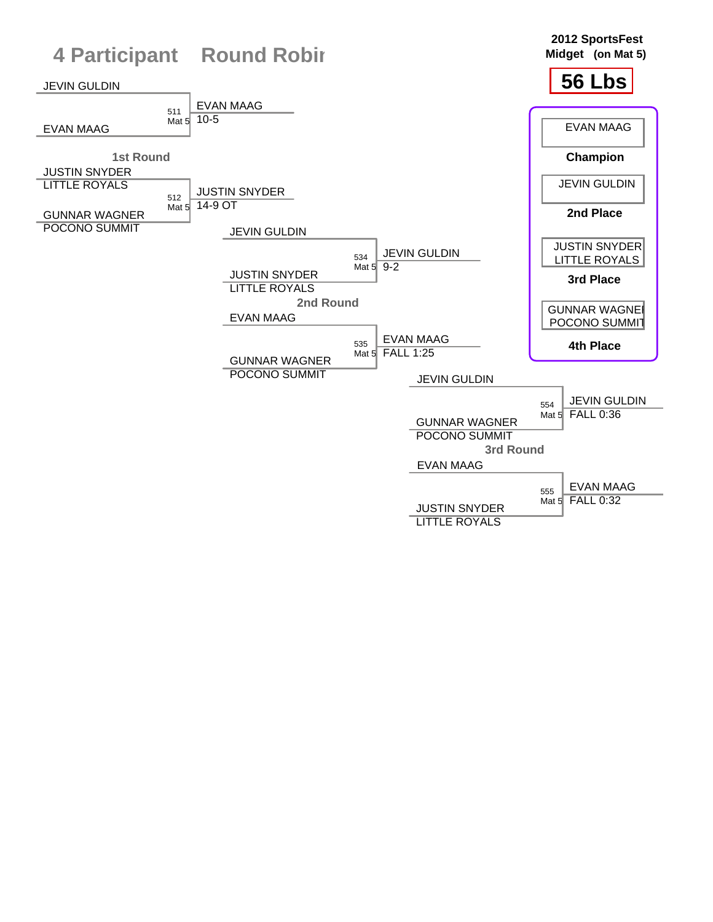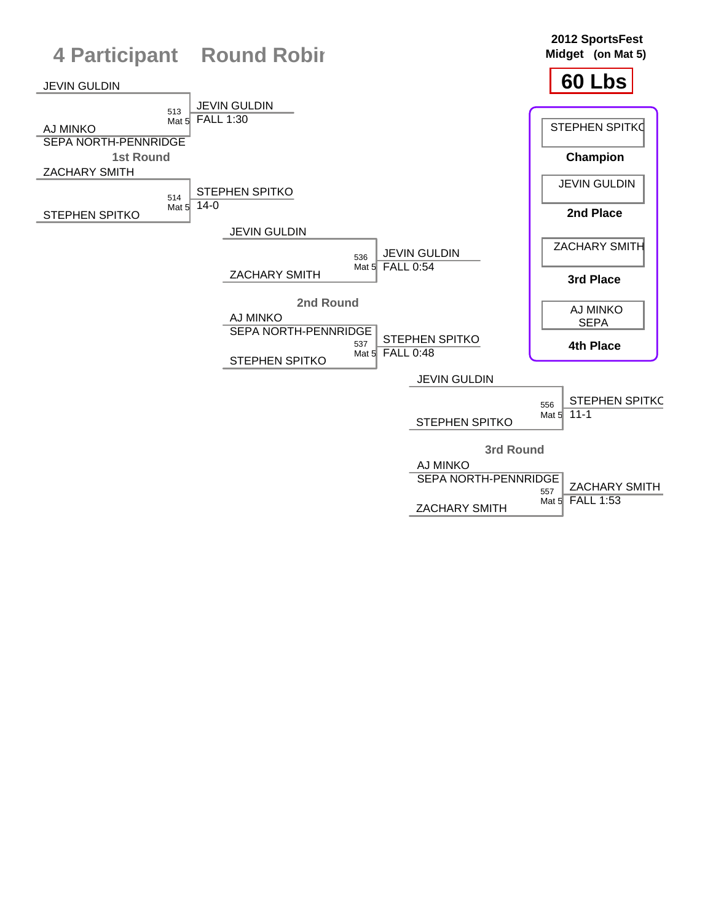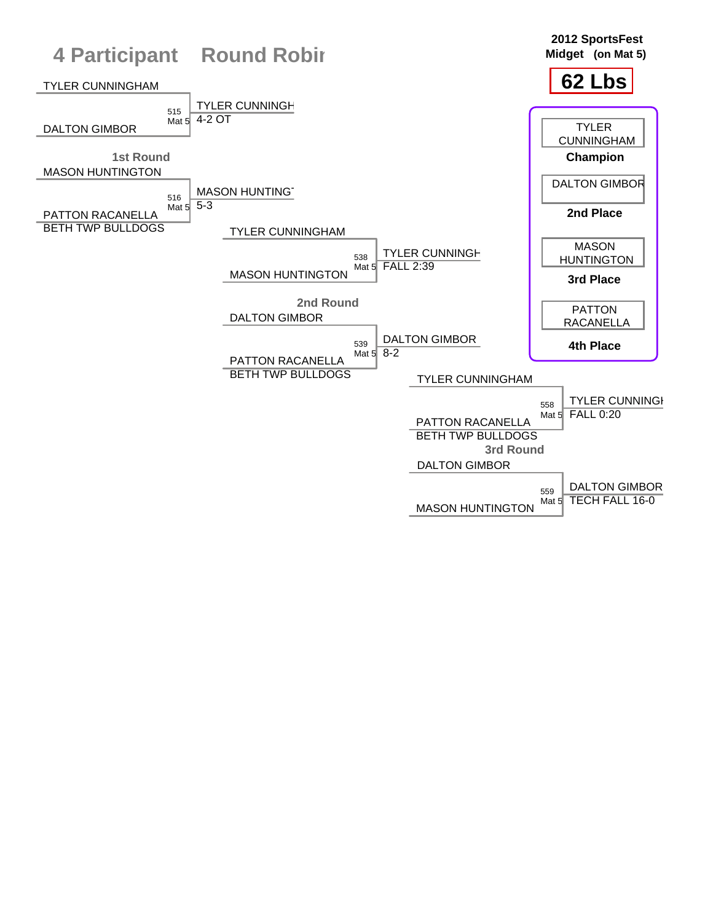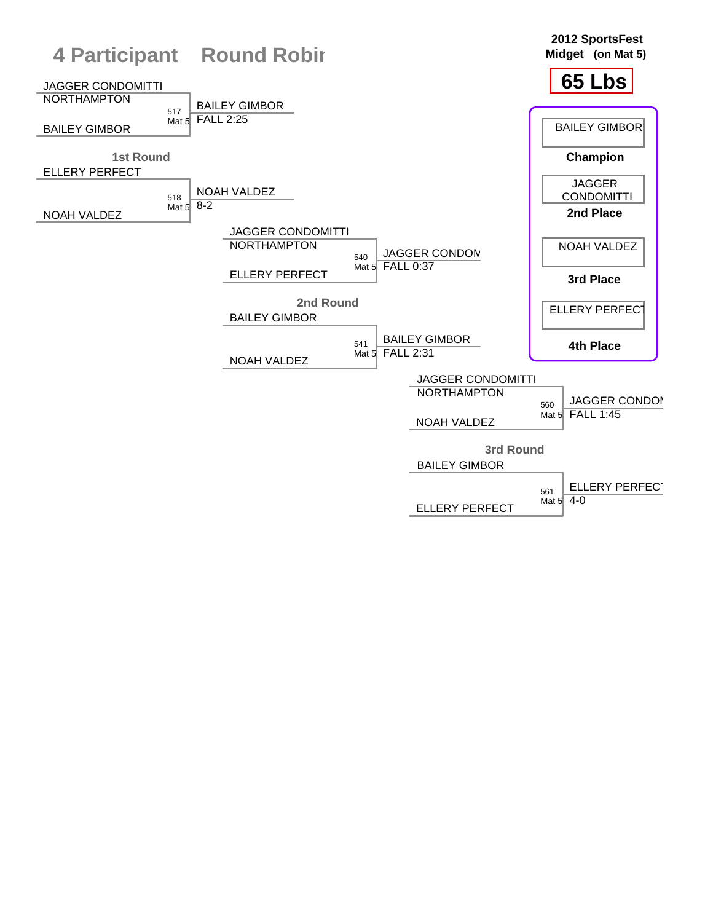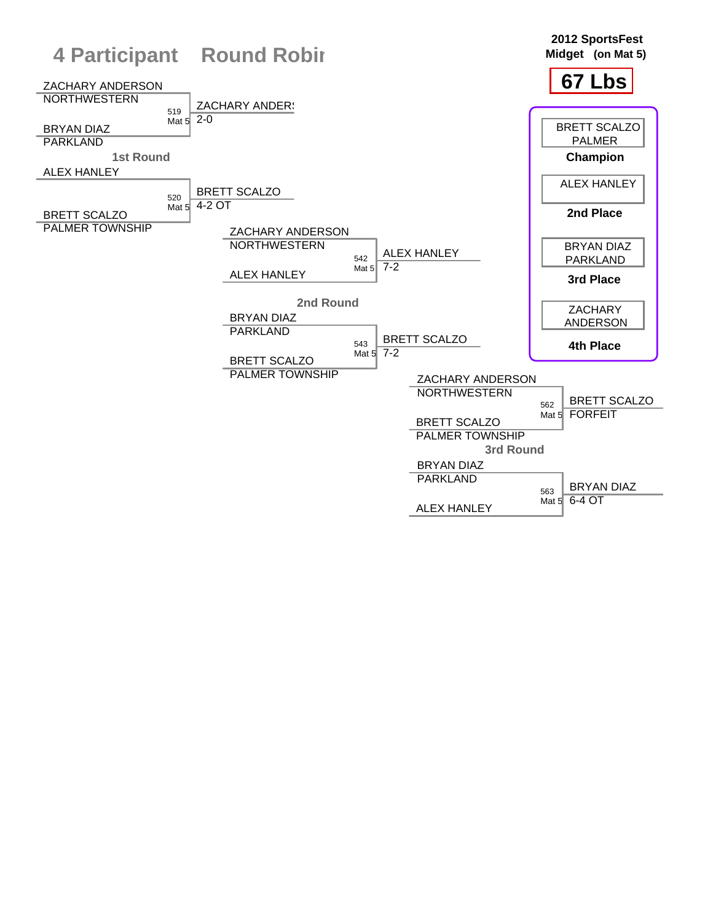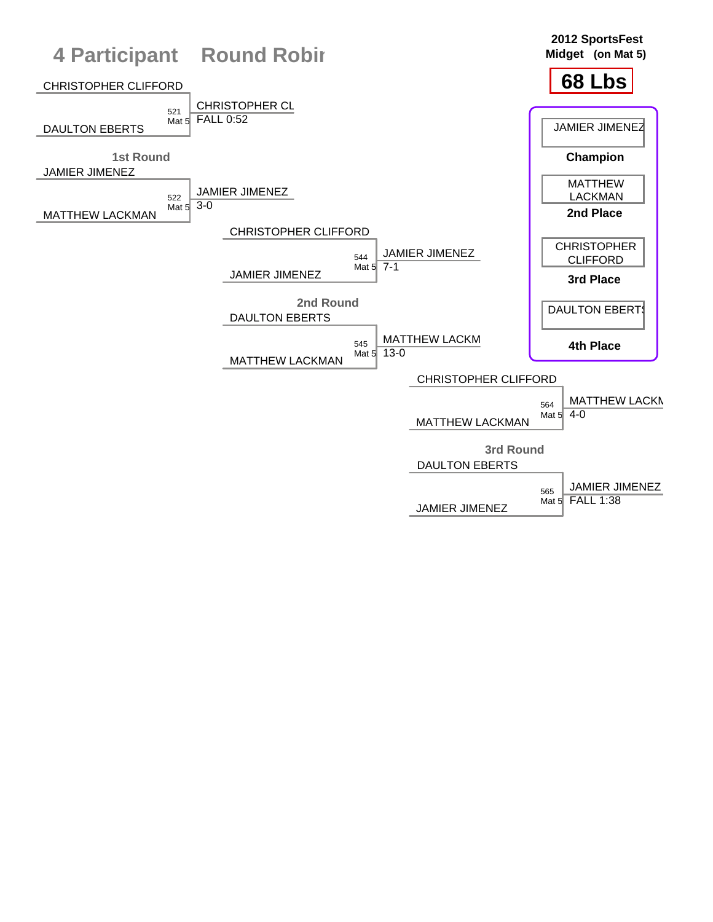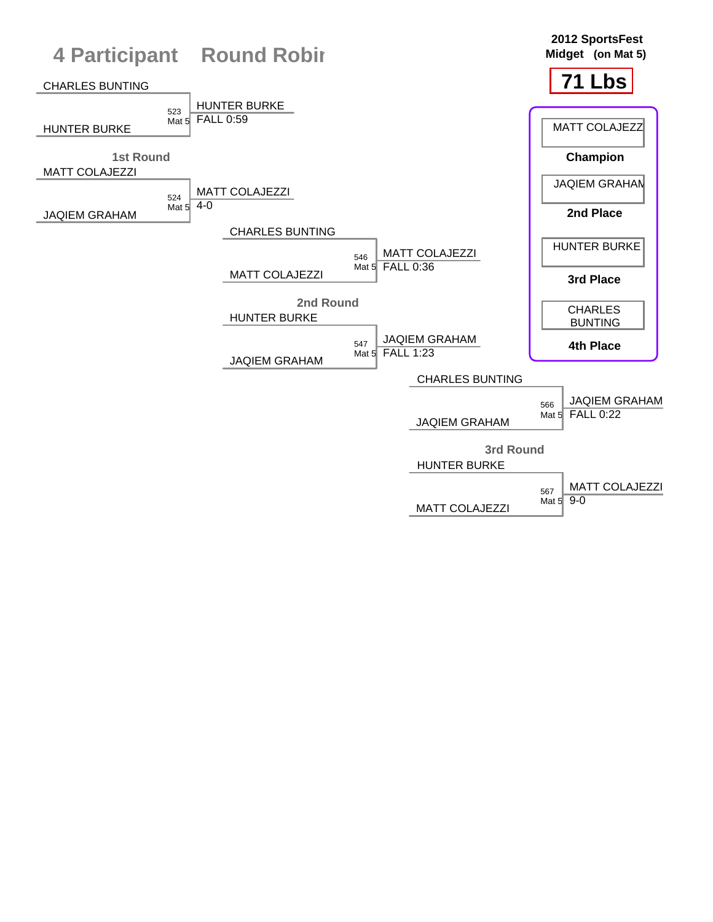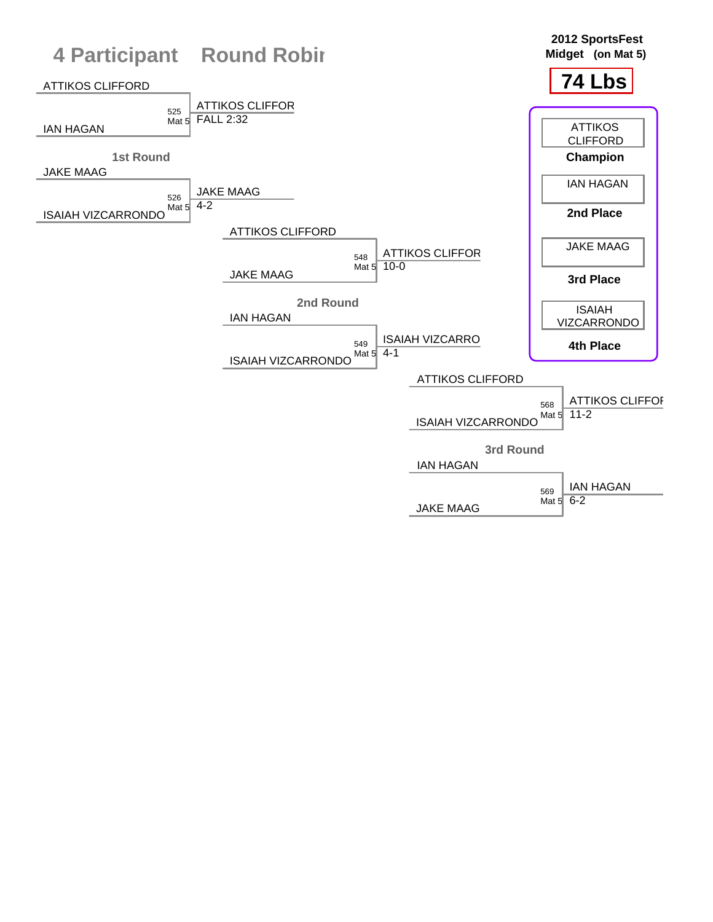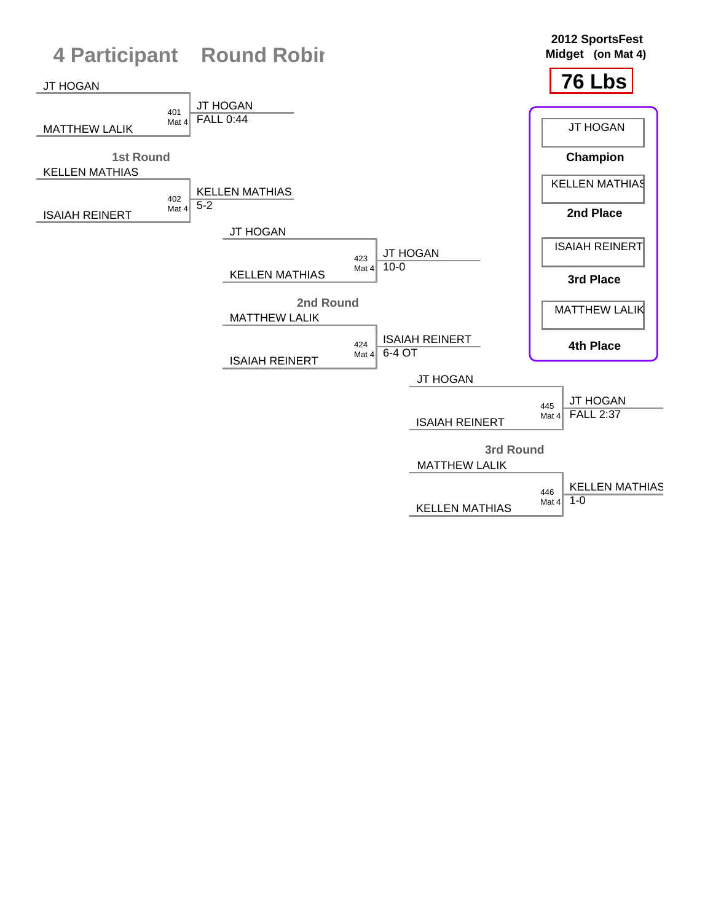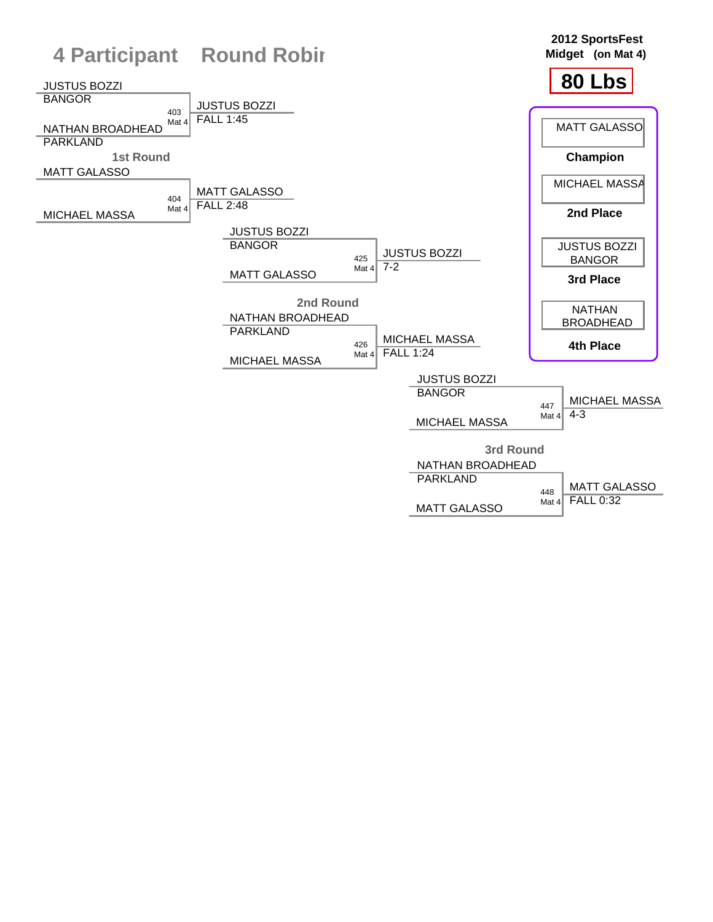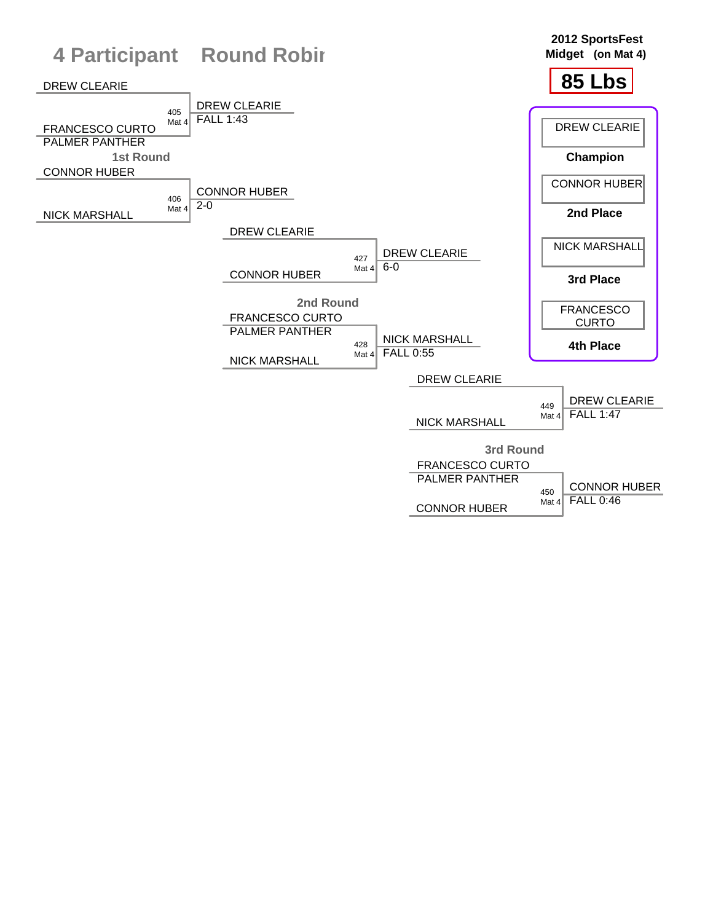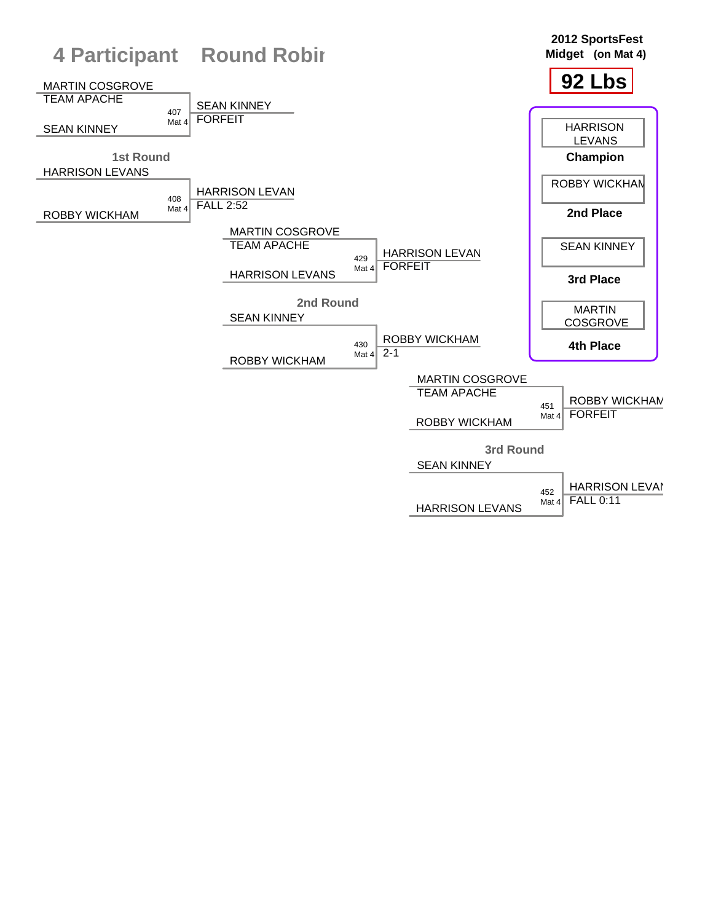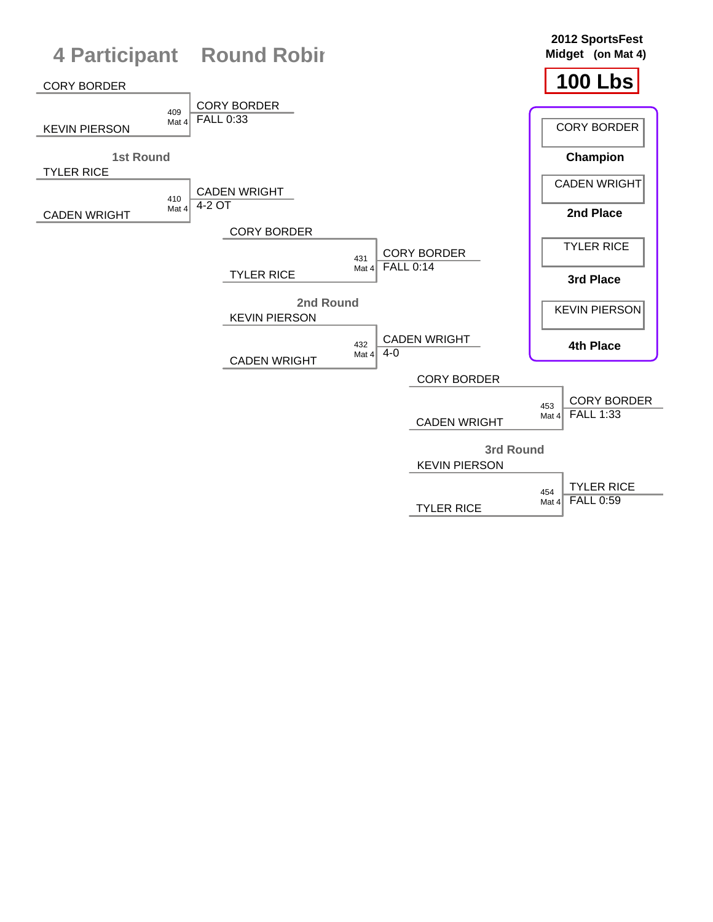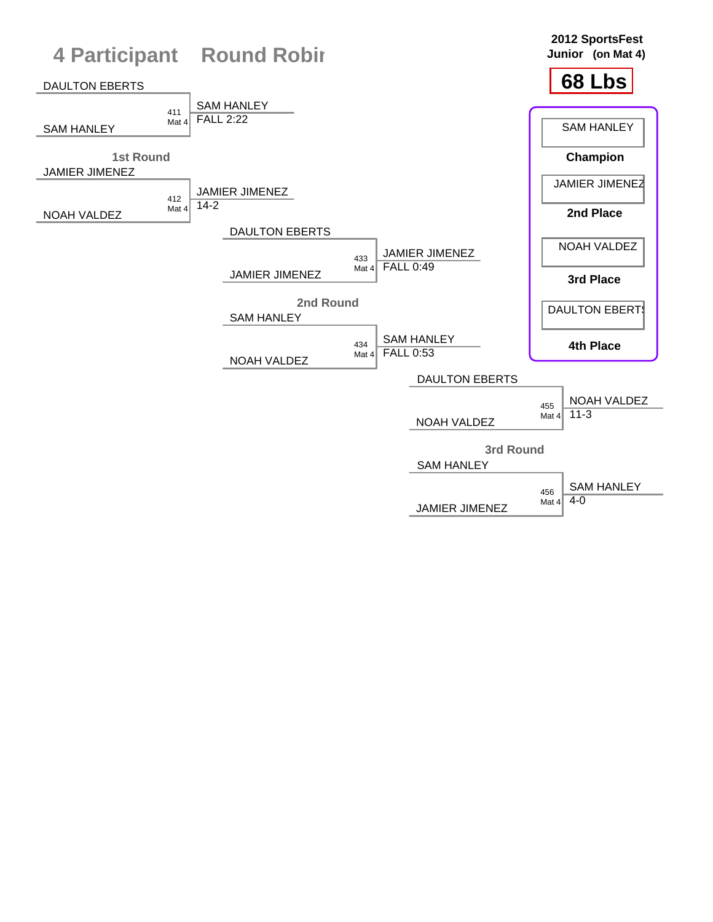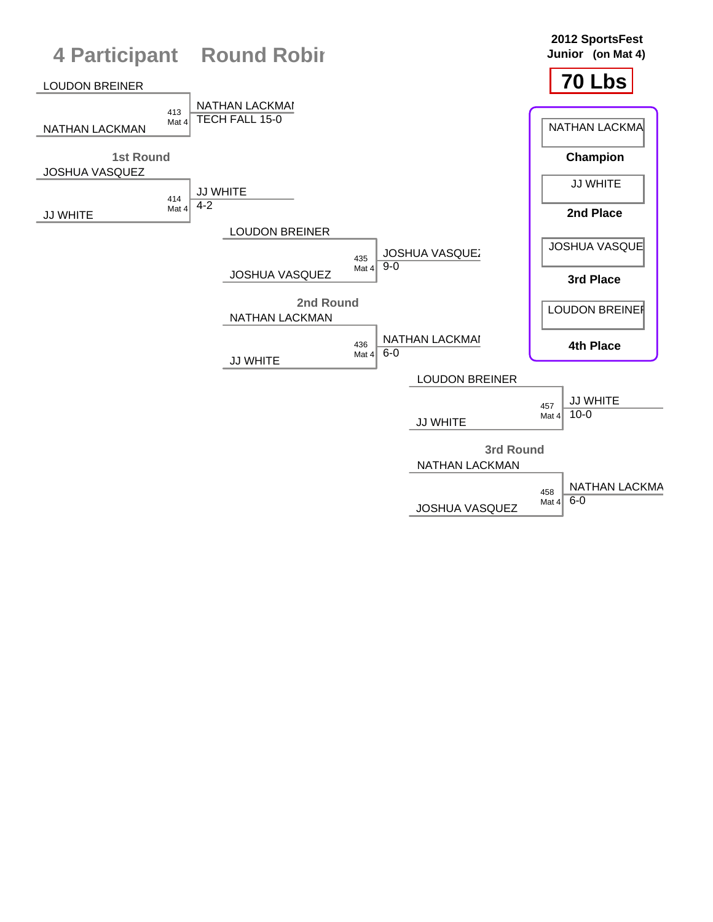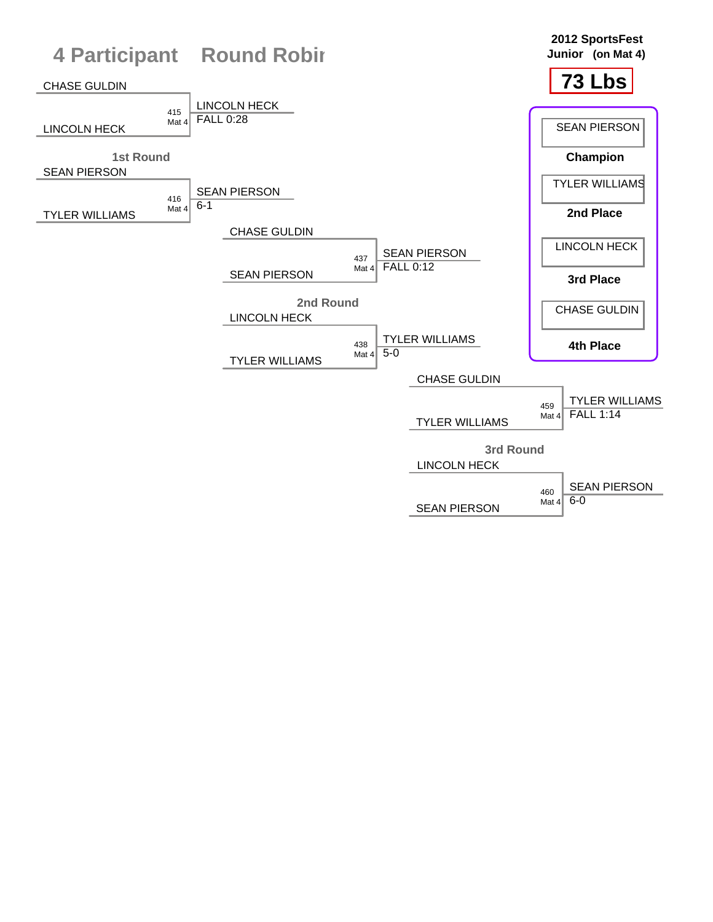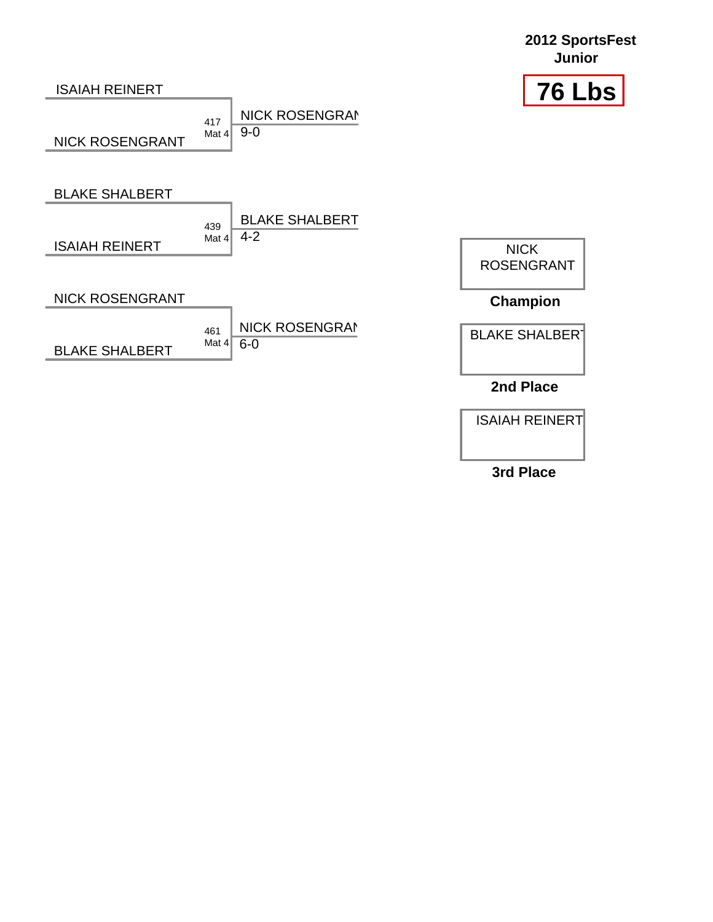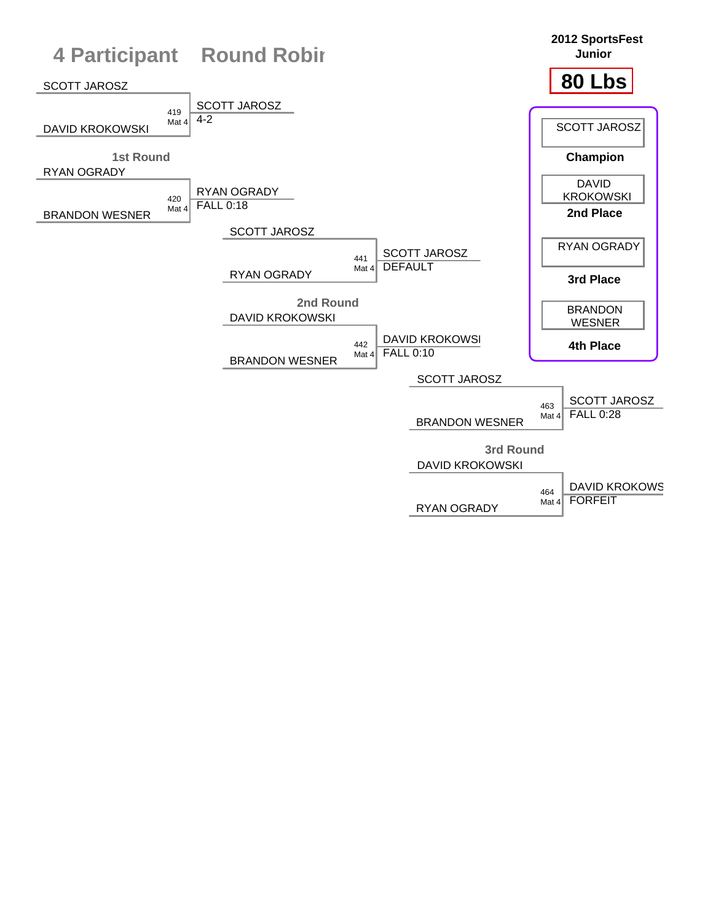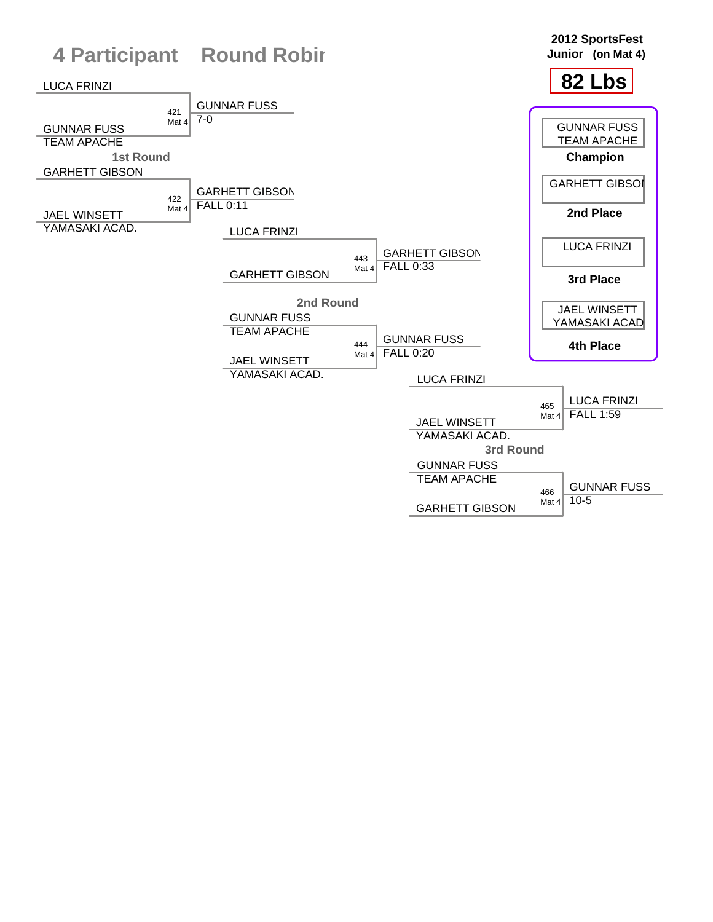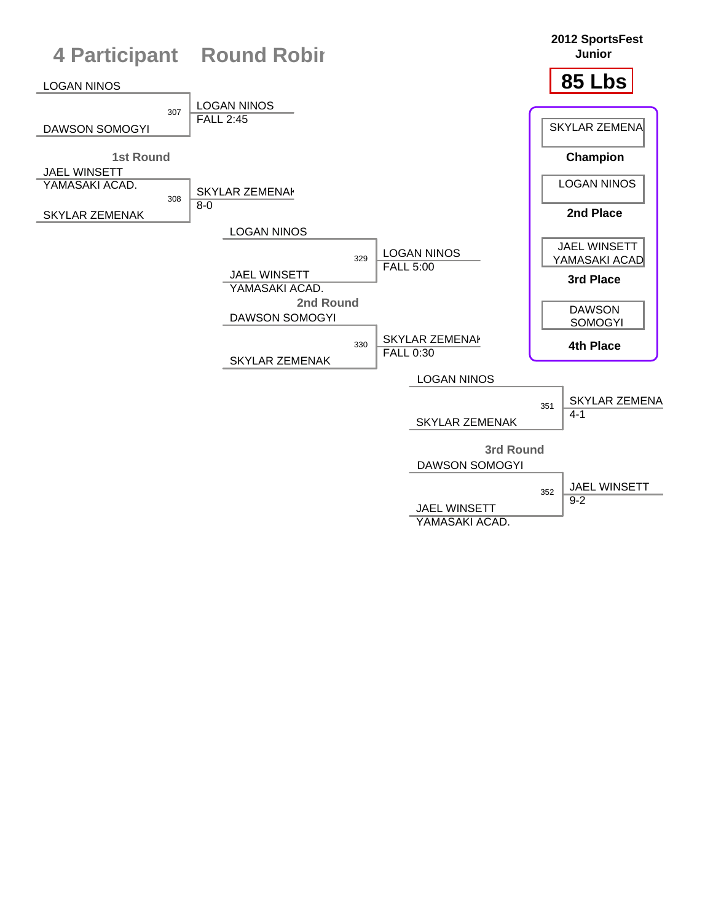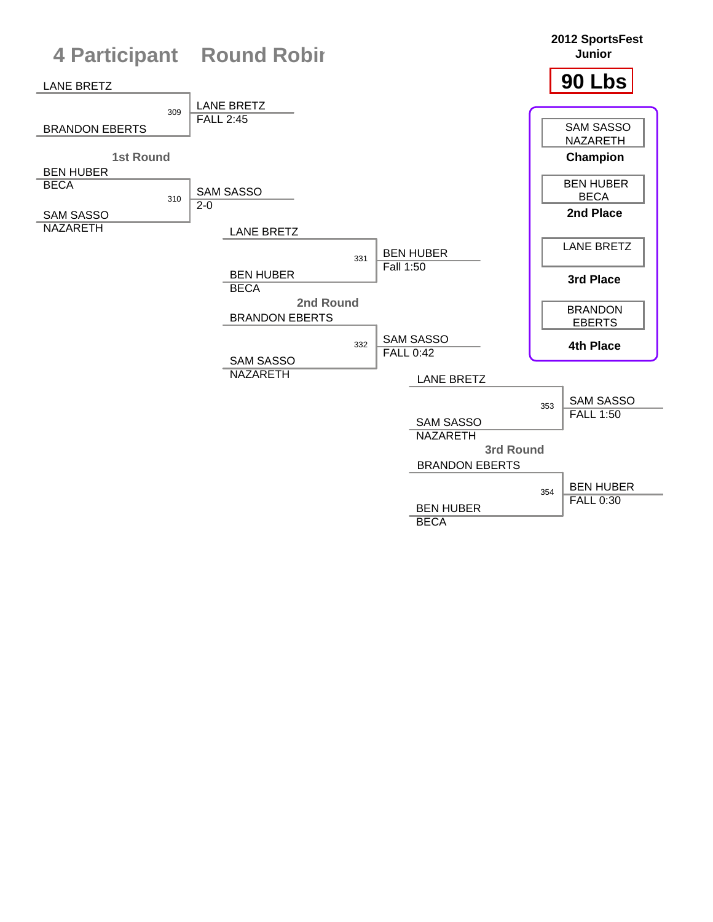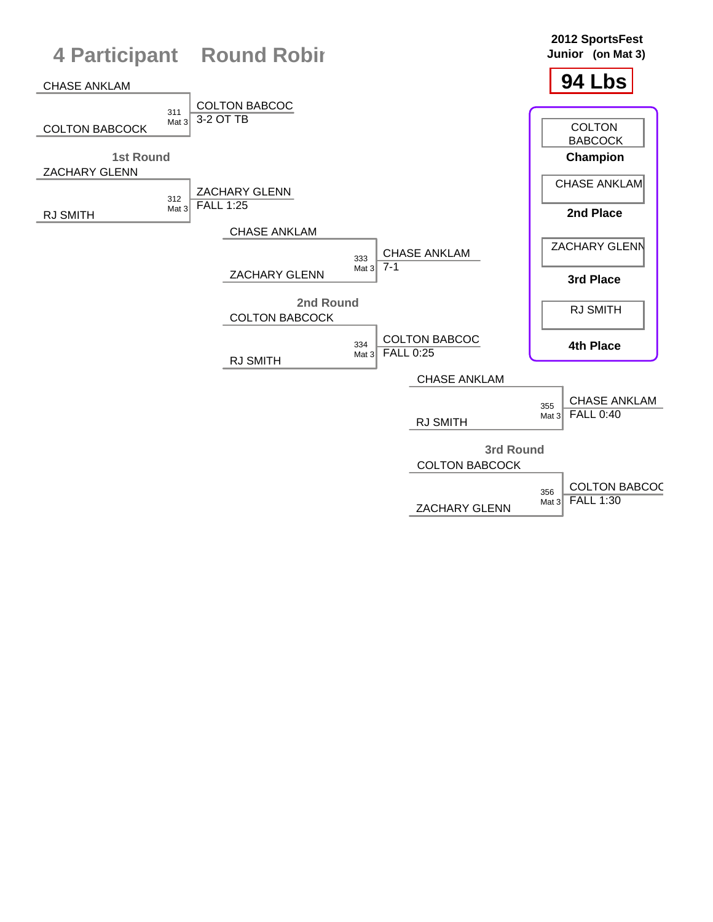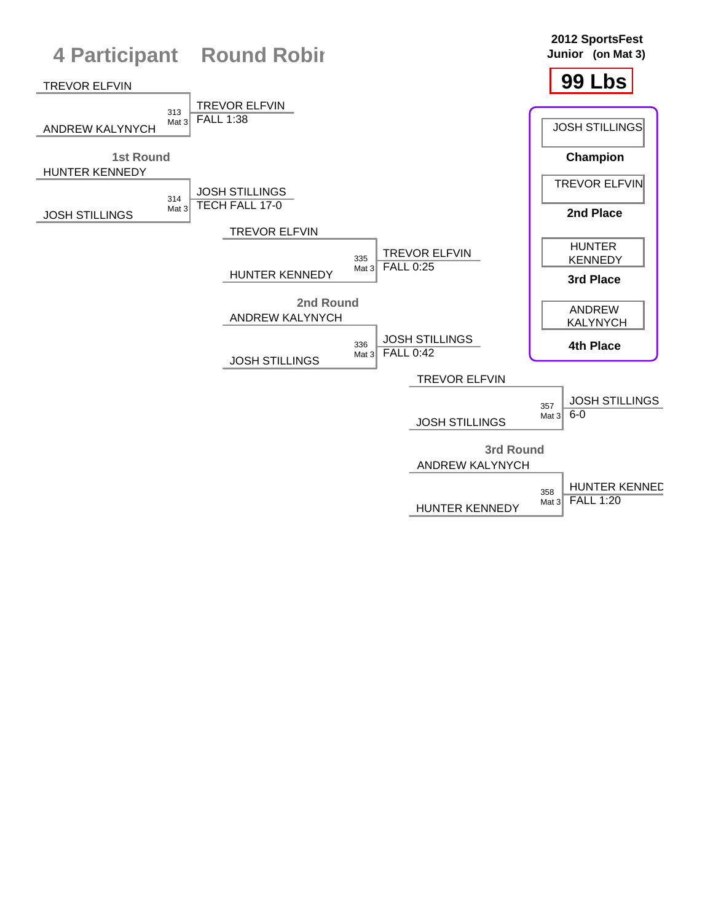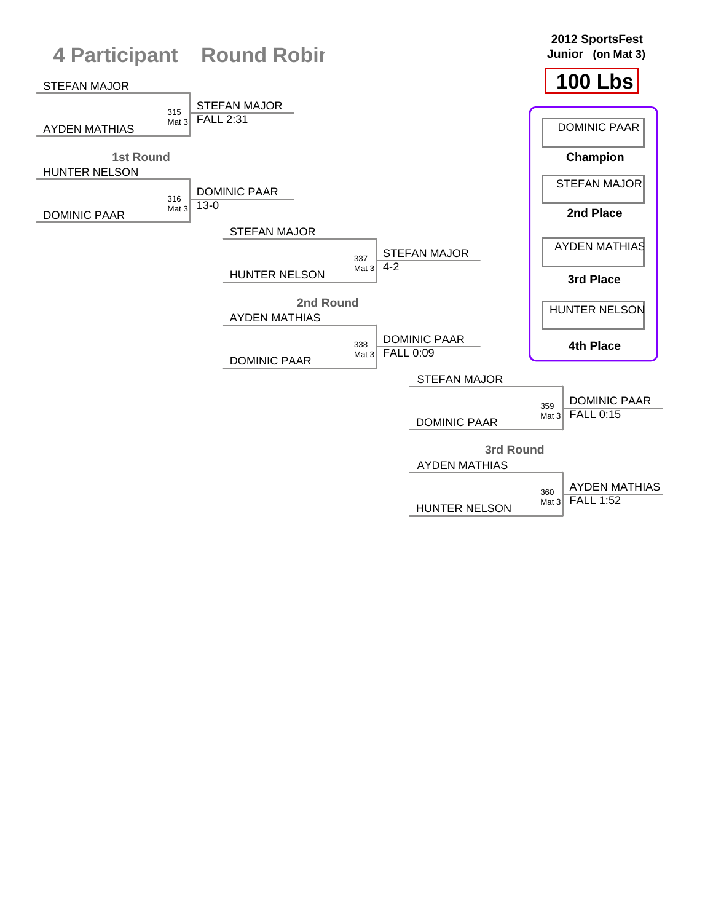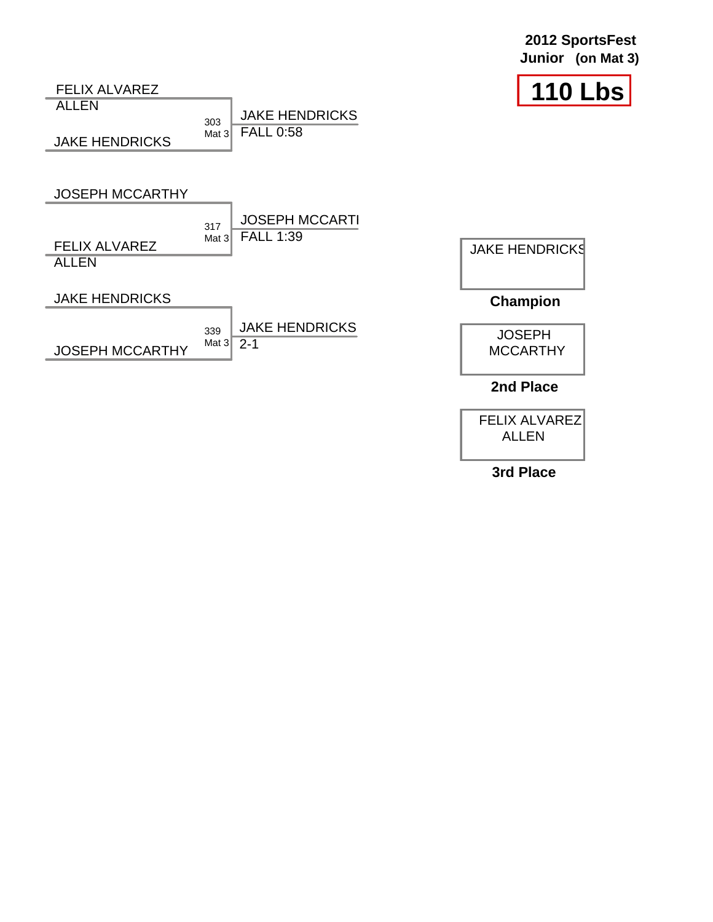| 2012 SportsFest   |  |  |
|-------------------|--|--|
| Junior (on Mat 3) |  |  |





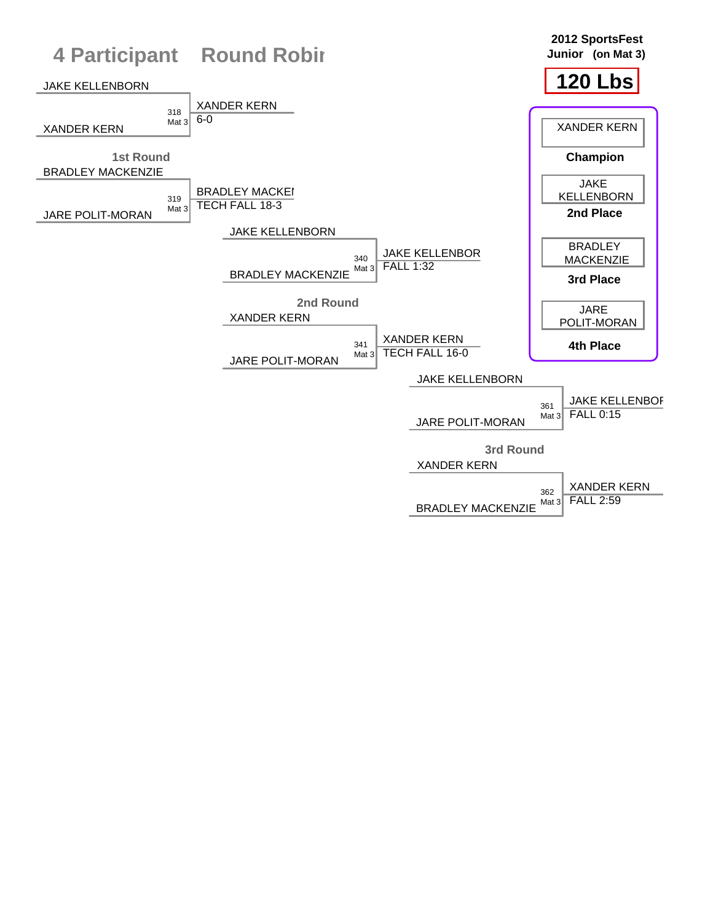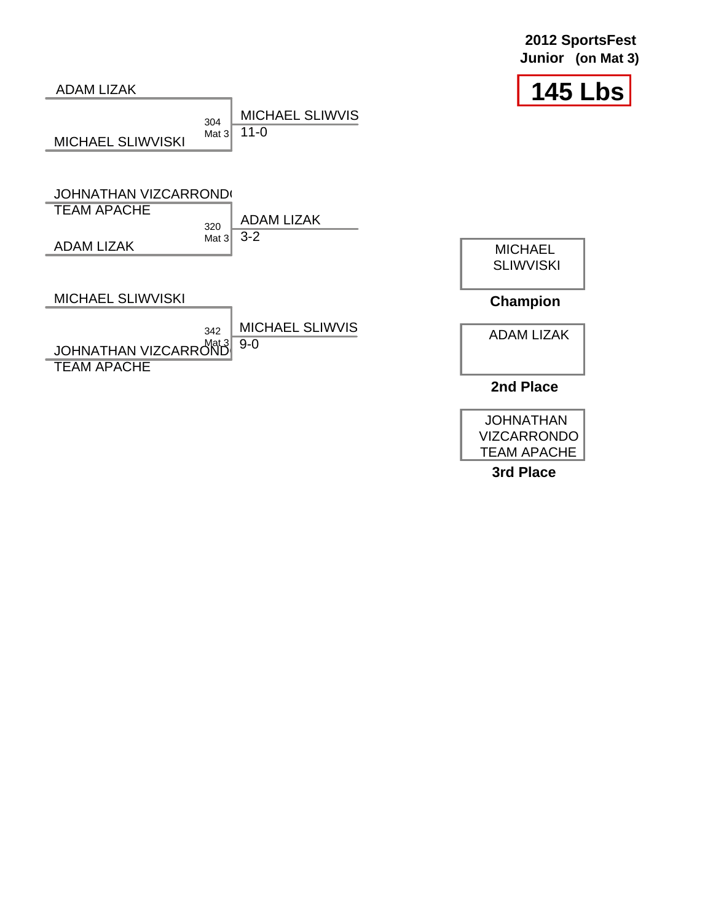

VIZCARRONDO TEAM APACHE **3rd Place**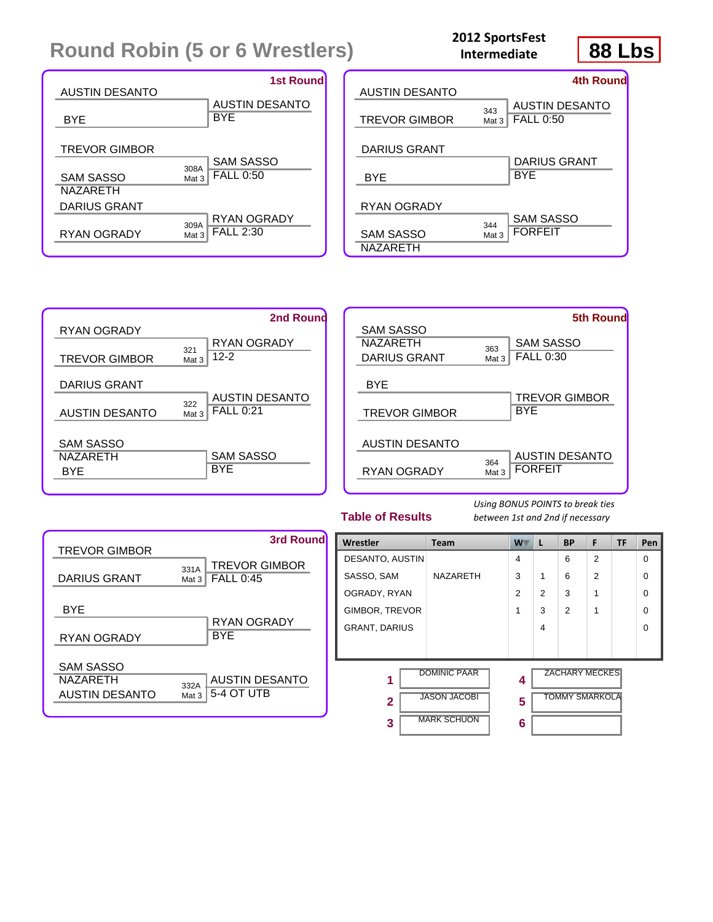# **Round Robin (5 or 6 Wrestlers)**

#### **2012 SportsFest Intermediate**



| <b>AUSTIN DESANTO</b>                                       | <b>1st Round</b>                                      | <b>AUSTIN DES</b>                         |
|-------------------------------------------------------------|-------------------------------------------------------|-------------------------------------------|
| <b>BYE</b>                                                  | <b>AUSTIN DESANTO</b><br><b>BYE</b>                   | <b>TREVOR GIN</b>                         |
| <b>TREVOR GIMBOR</b><br><b>SAM SASSO</b><br><b>NAZARETH</b> | <b>SAM SASSO</b><br>308A<br><b>FALL 0:50</b><br>Mat 3 | <b>DARIUS GRA</b><br><b>BYE</b>           |
| DARIUS GRANT<br><b>RYAN OGRADY</b>                          | RYAN OGRADY<br>309A<br><b>FALL 2:30</b><br>Mat 3      | RYAN OGRA<br><b>SAM SASSO</b><br>NAZARETH |

| <b>AUSTIN DESANTO</b>                       |              | 4th Round                                 |
|---------------------------------------------|--------------|-------------------------------------------|
| TREVOR GIMBOR                               | 343<br>Mat 3 | <b>AUSTIN DESANTO</b><br><b>FALL 0:50</b> |
| <b>DARIUS GRANT</b><br><b>BYE</b>           |              | DARIUS GRANT<br>BYE                       |
| RYAN OGRADY<br><b>SAM SASSO</b><br>NAZARETH | 344<br>Mat 3 | SAM SASSO<br><b>FORFEIT</b>               |





**Table of Results**

*Using BONUS POINTS to break ties between 1st and 2nd if necessary*

| <b>TREVOR GIMBOR</b>                           | 3rd Round                                                    |
|------------------------------------------------|--------------------------------------------------------------|
| DARIUS GRANT                                   | <b>TREVOR GIMBOR</b><br>331A<br><b>FALL 0:45</b><br>Mat $31$ |
| <b>BYE</b><br>RYAN OGRADY                      | RYAN OGRADY<br><b>BYE</b>                                    |
| SAM SASSO<br><b>NAZARFTH</b><br>AUSTIN DESANTO | <b>AUSTIN DESANTO</b><br>332A<br>5-4 OT UTB<br>Mat 3         |

| <b>Wrestler</b>        | <b>Team</b>                                                      | <b>W</b>    | L              | <b>BP</b>                                      | F              | <b>TF</b> | Pen      |
|------------------------|------------------------------------------------------------------|-------------|----------------|------------------------------------------------|----------------|-----------|----------|
| <b>DESANTO, AUSTIN</b> |                                                                  | 4           |                | 6                                              | $\overline{2}$ |           | $\Omega$ |
| SASSO, SAM             | <b>NAZARETH</b>                                                  | 3           | 1              | 6                                              | $\overline{2}$ |           | $\Omega$ |
| OGRADY, RYAN           |                                                                  | 2           | $\overline{2}$ | 3                                              | 1              |           | $\Omega$ |
| GIMBOR, TREVOR         |                                                                  | 1           | 3              | $\mathcal{P}$                                  | 1              |           | $\Omega$ |
| <b>GRANT, DARIUS</b>   |                                                                  |             | 4              |                                                |                |           | $\Omega$ |
|                        |                                                                  |             |                |                                                |                |           |          |
| 1<br>$\mathbf{2}$<br>3 | <b>DOMINIC PAAR</b><br><b>JASON JACOBI</b><br><b>MARK SCHUON</b> | 4<br>5<br>6 |                | <b>ZACHARY MECKES</b><br><b>TOMMY SMARKOLA</b> |                |           |          |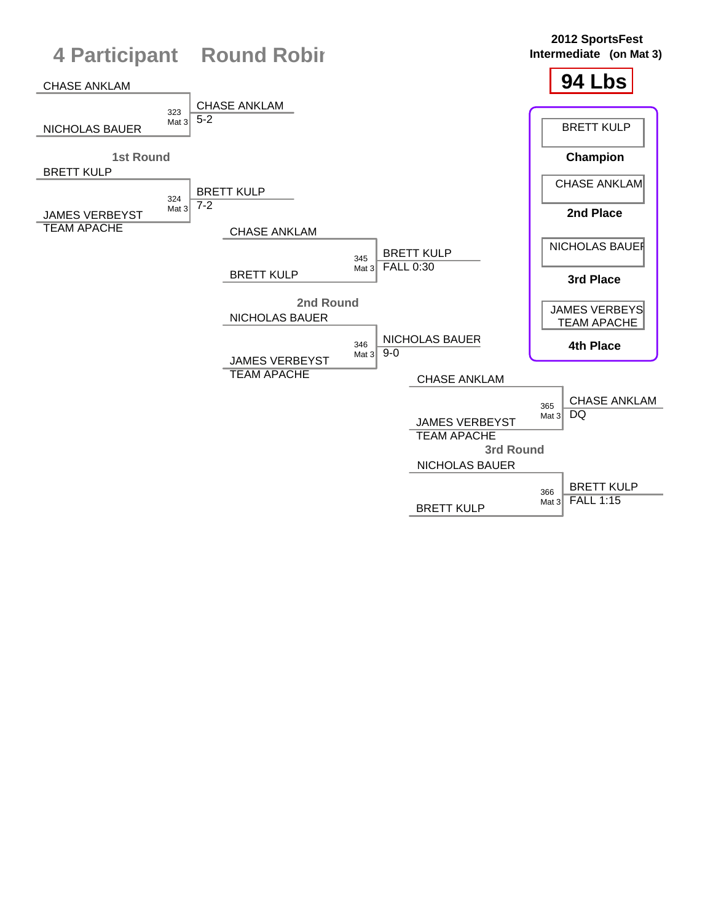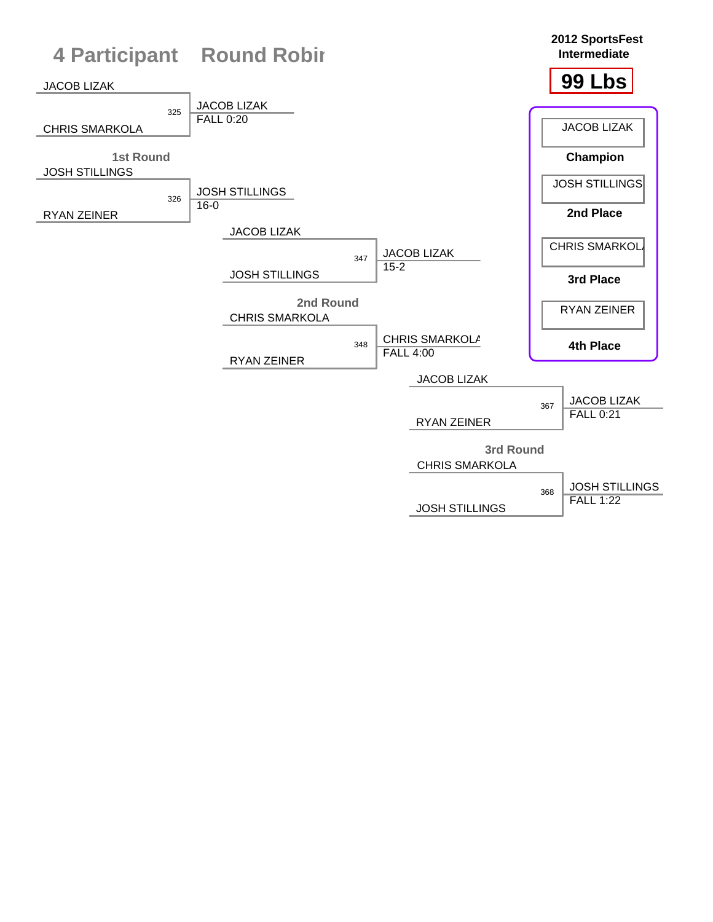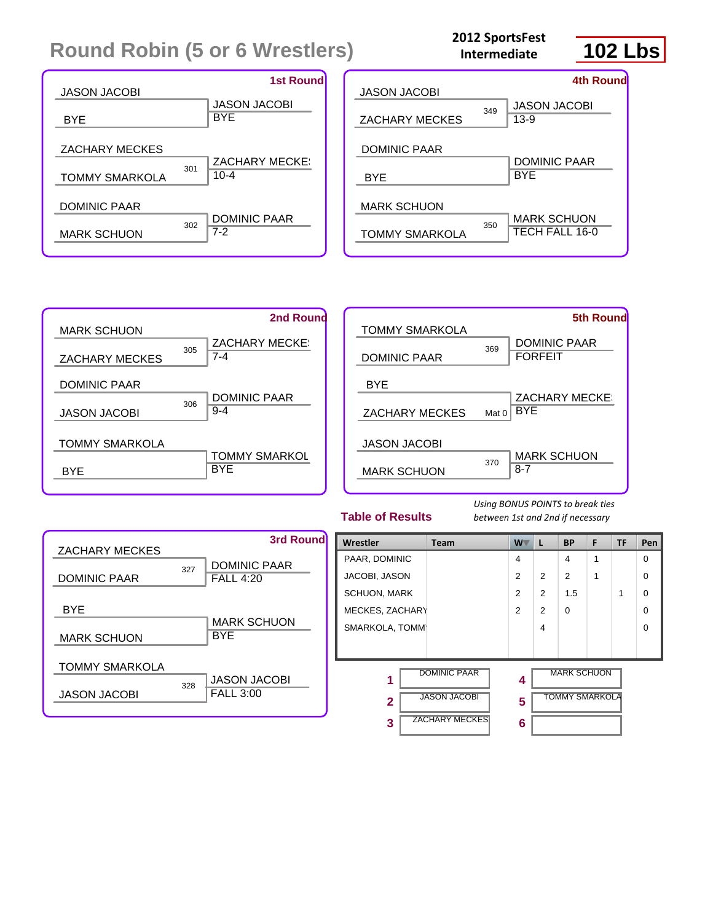# **Round Robin (5 or 6 Wrestlers)**

#### **2012 SportsFest Intermediate**









**Table of Results**

*Using BONUS POINTS to break ties between 1st and 2nd if necessary*



|                     |                       |                |                       |                    | F |           |     |
|---------------------|-----------------------|----------------|-----------------------|--------------------|---|-----------|-----|
| Wrestler            | <b>Team</b>           | W              | L                     | <b>BP</b>          |   | <b>TF</b> | Pen |
| PAAR, DOMINIC       |                       | 4              |                       | 4                  | 1 |           | 0   |
| JACOBI, JASON       |                       | $\overline{2}$ | 2                     | $\mathfrak{p}$     | 1 |           | 0   |
| <b>SCHUON, MARK</b> |                       | 2              | 2                     | 1.5                |   | 1         | 0   |
| MECKES, ZACHARY     |                       | 2              | 2                     | $\Omega$           |   |           | 0   |
| SMARKOLA, TOMM      |                       |                | 4                     |                    |   |           | 0   |
|                     |                       |                |                       |                    |   |           |     |
| 1                   | <b>DOMINIC PAAR</b>   | 4              |                       | <b>MARK SCHUON</b> |   |           |     |
| $\mathbf{2}$        | <b>JASON JACOBI</b>   | 5              | <b>TOMMY SMARKOLA</b> |                    |   |           |     |
| 3                   | <b>ZACHARY MECKES</b> | 6              |                       |                    |   |           |     |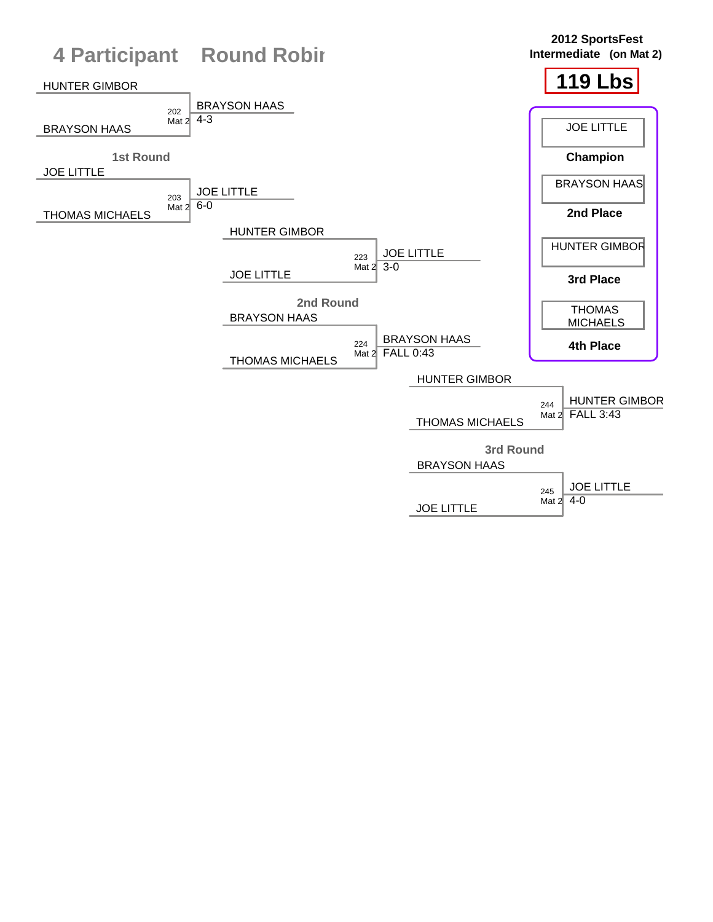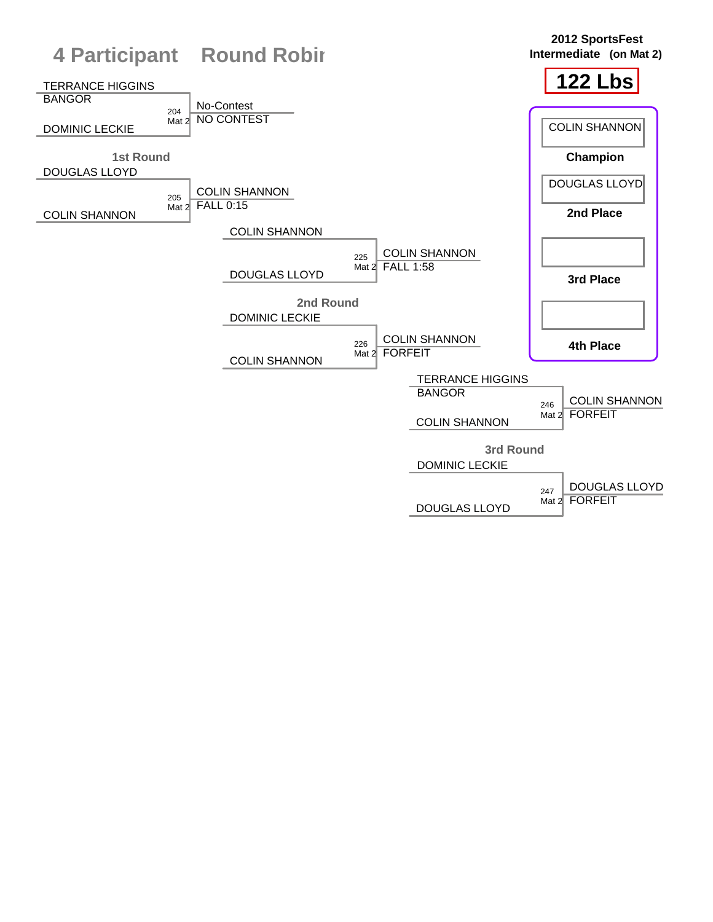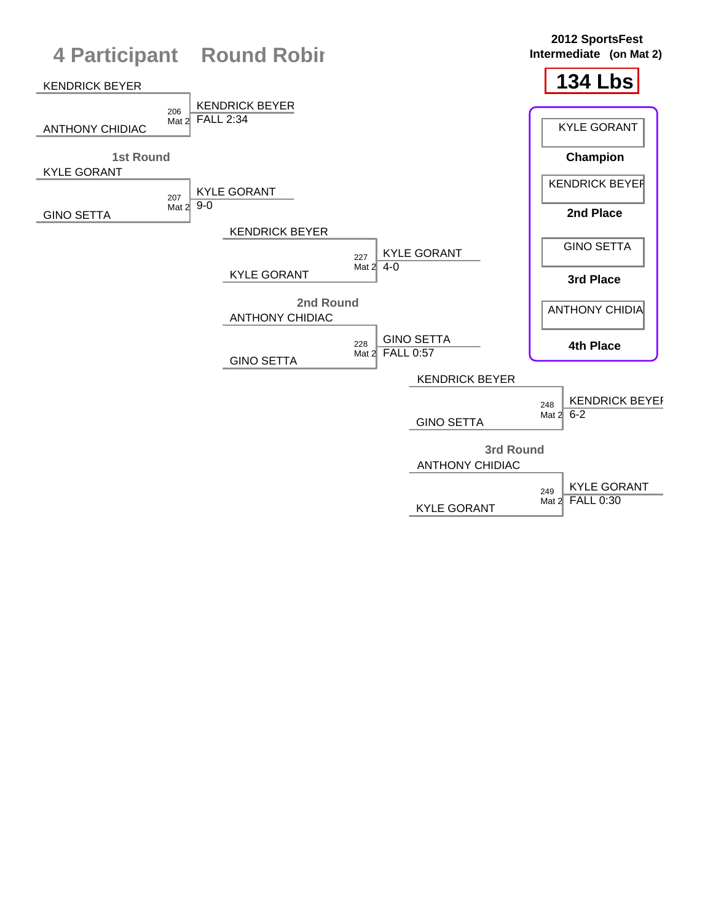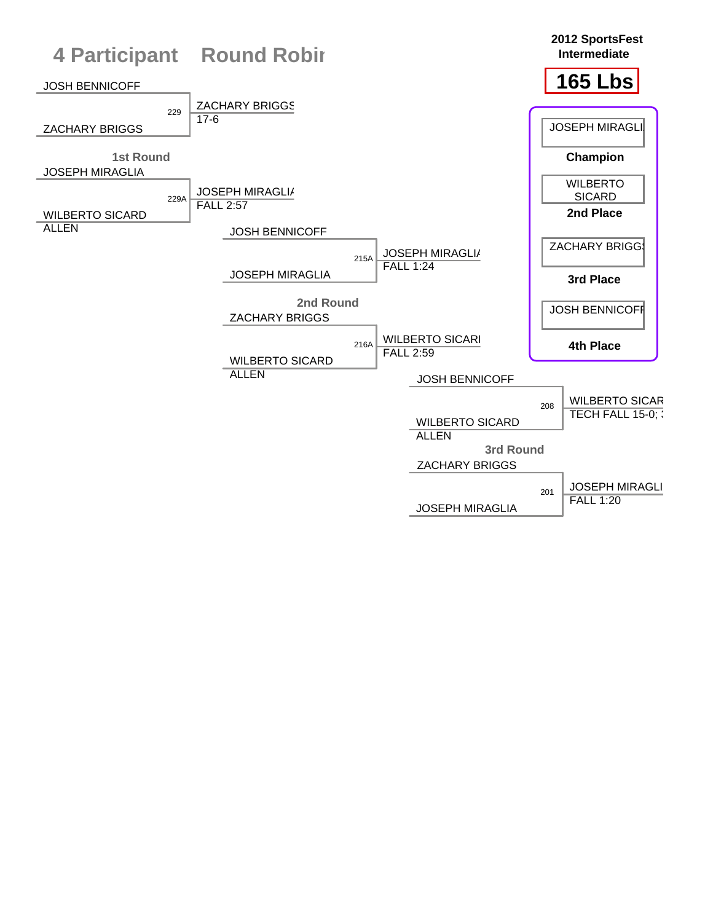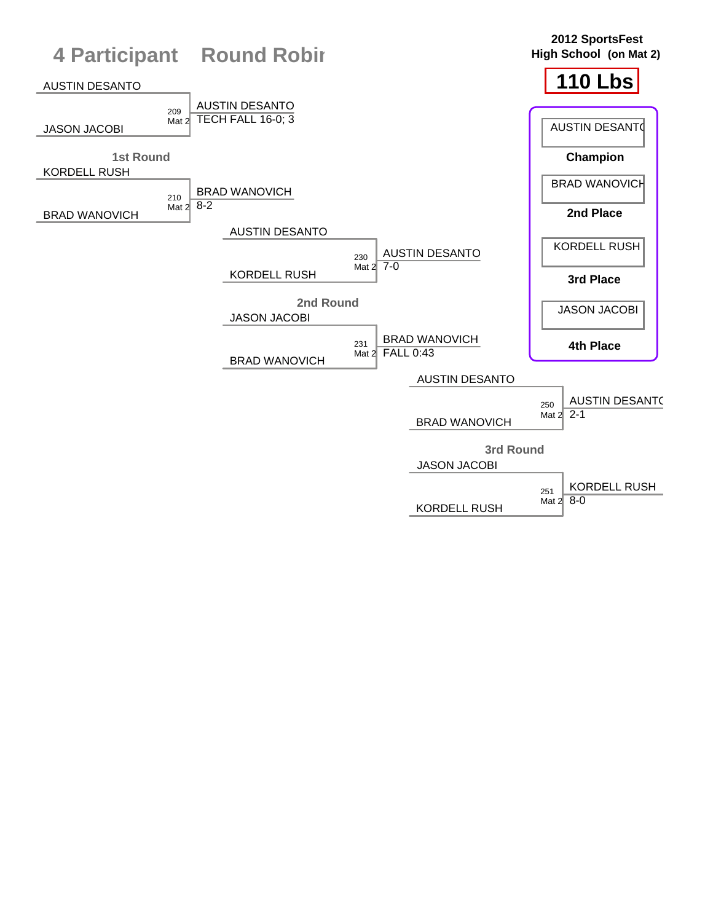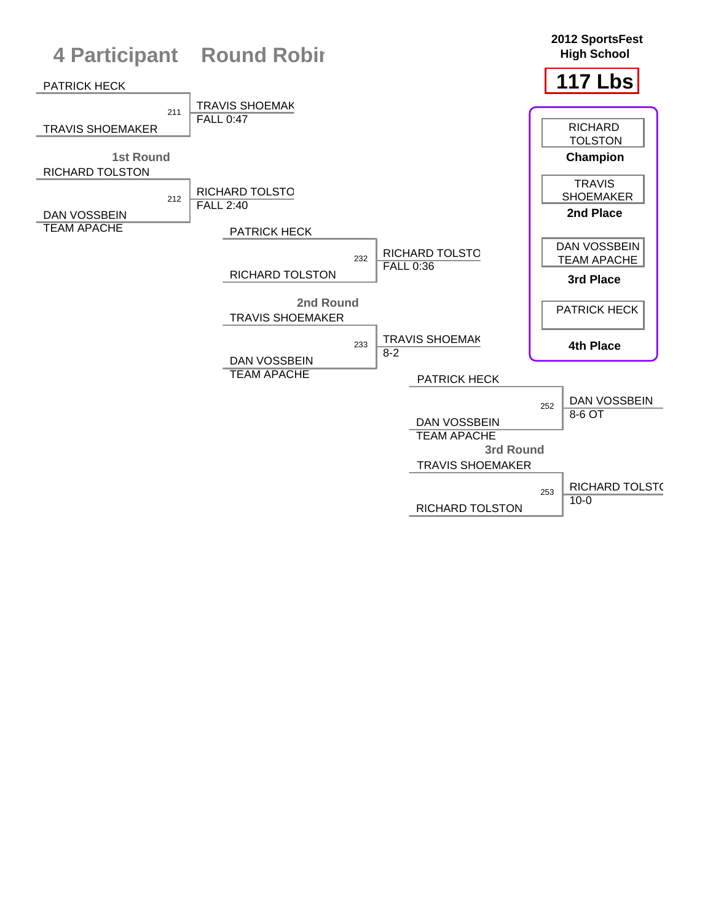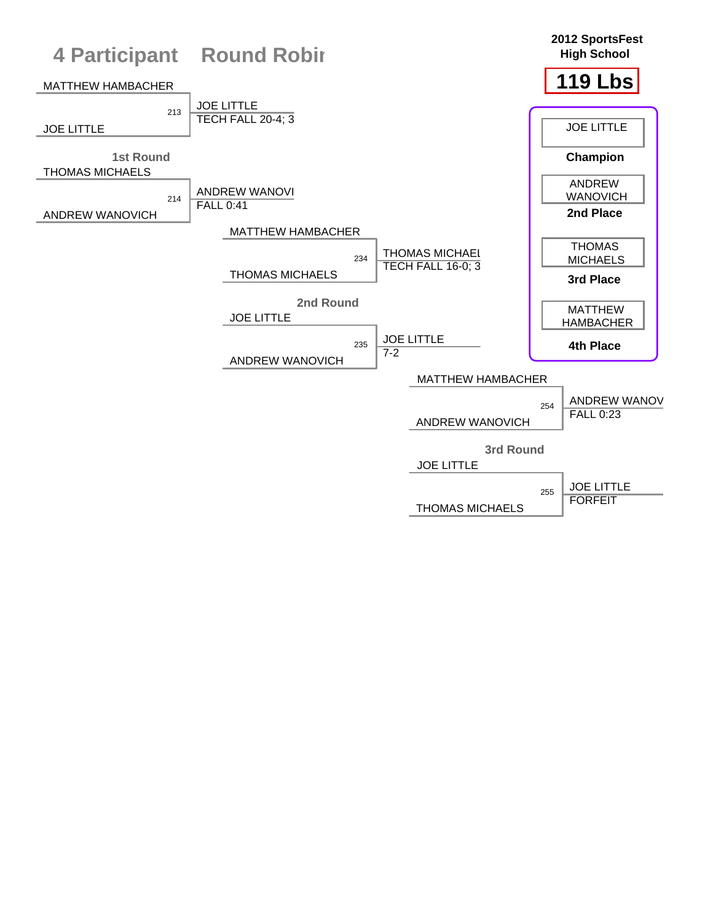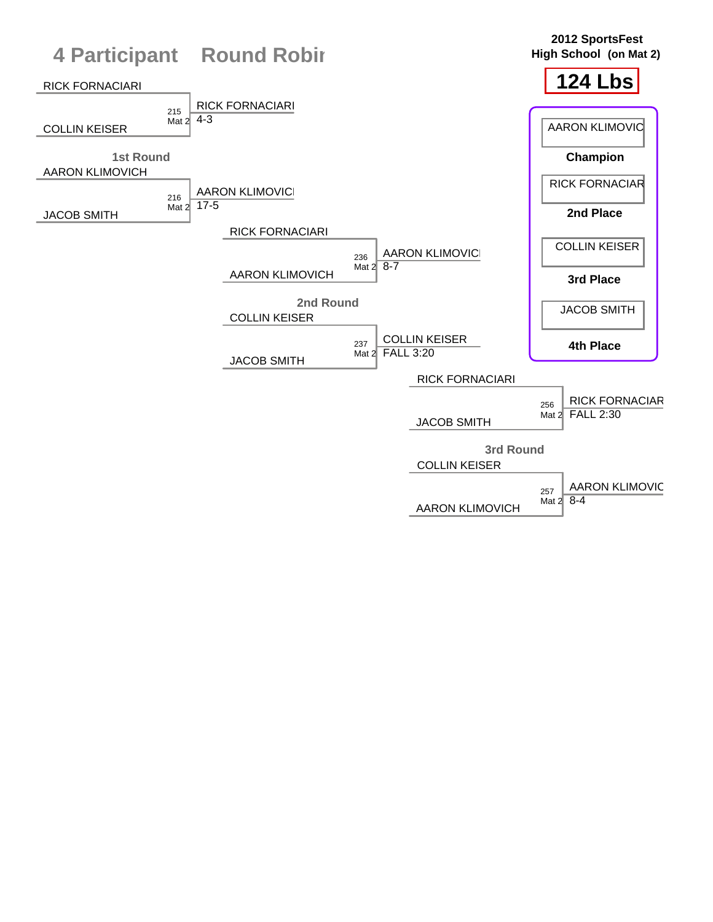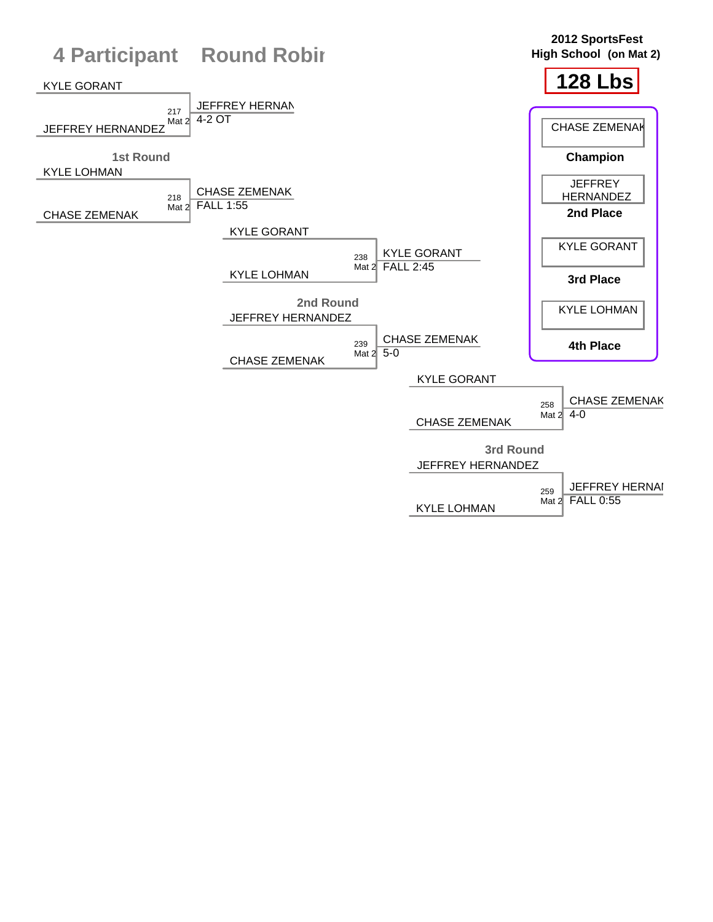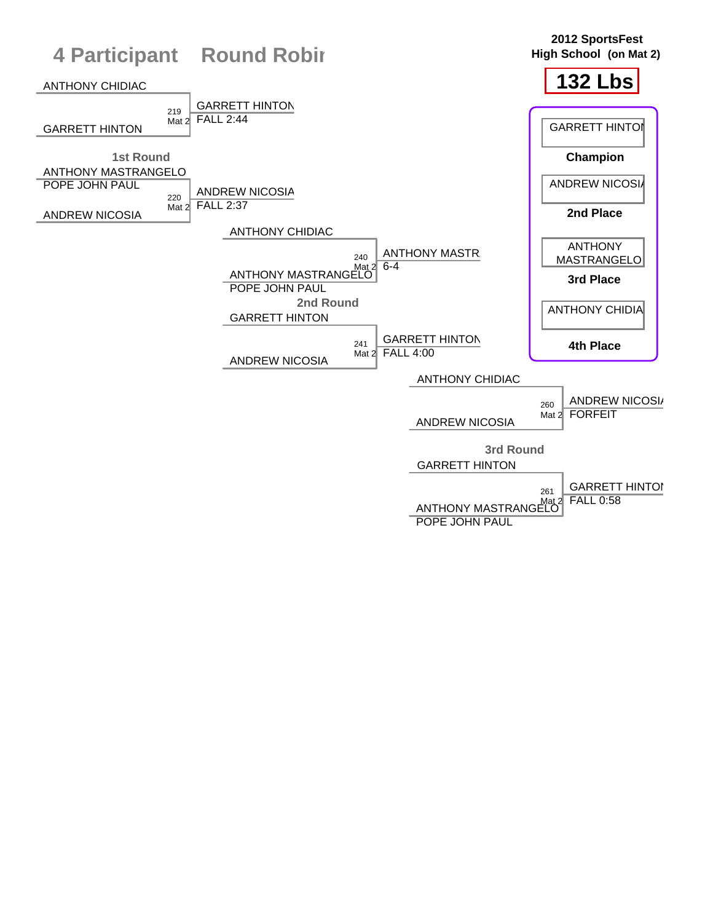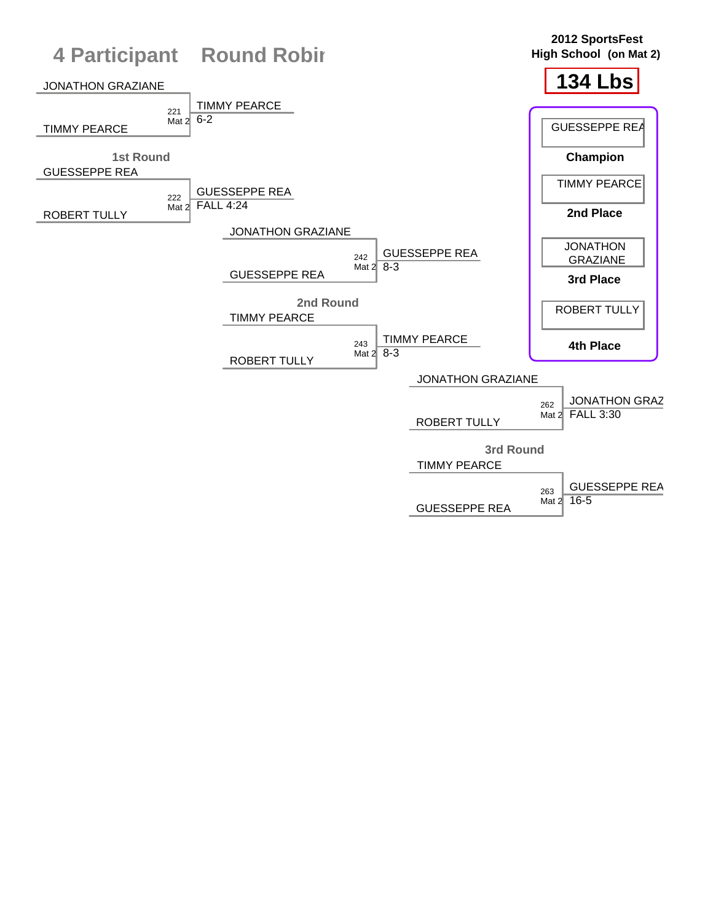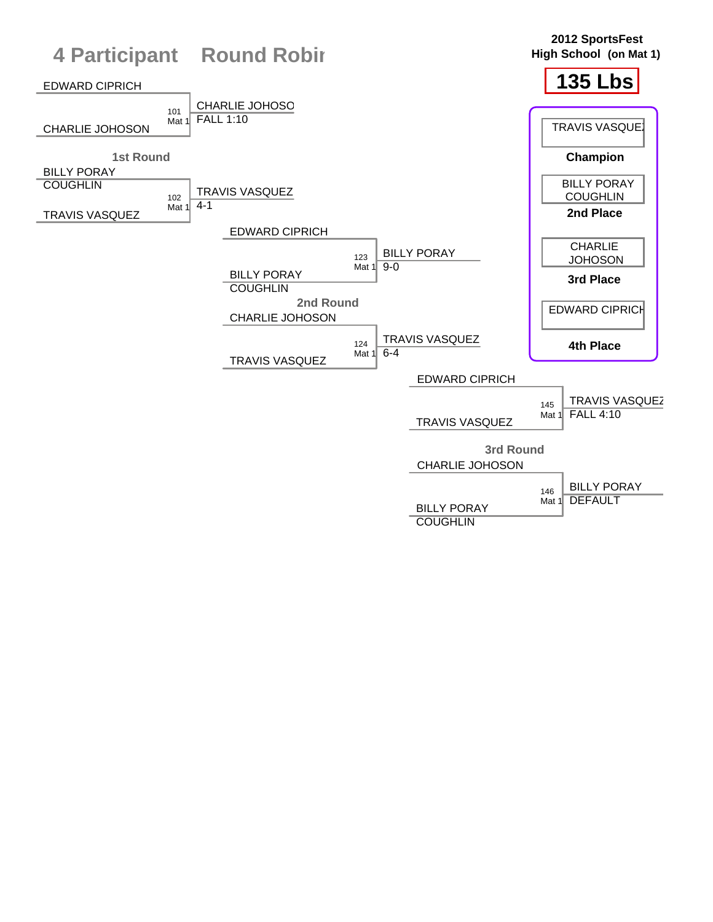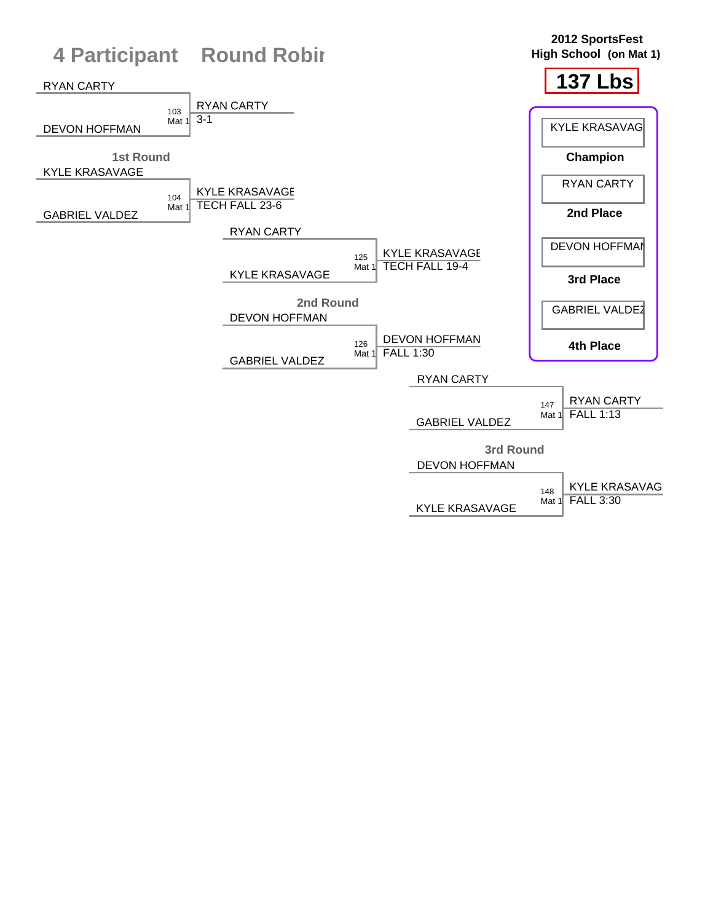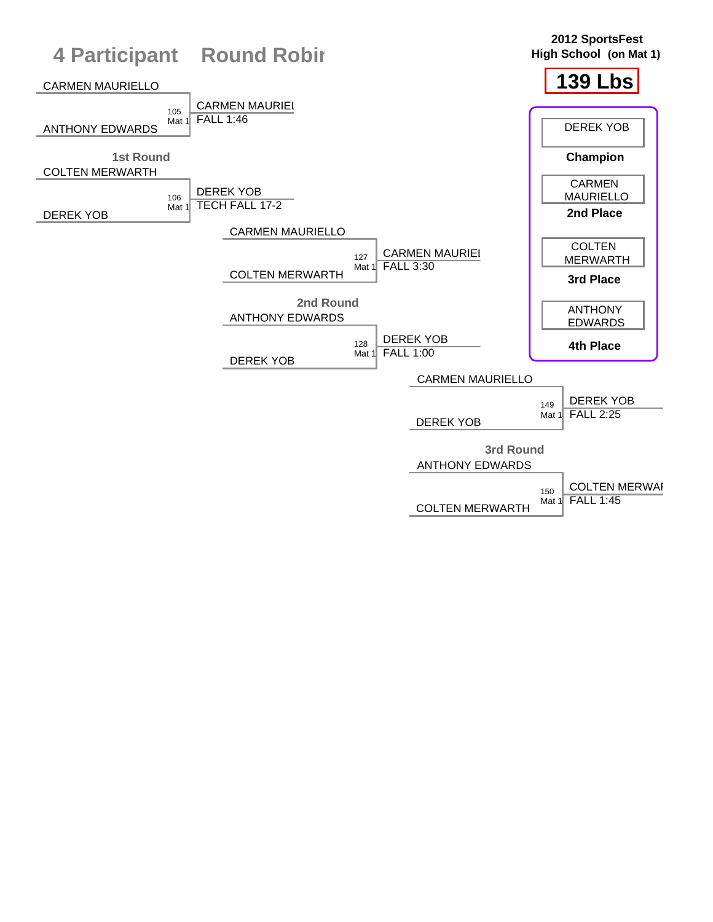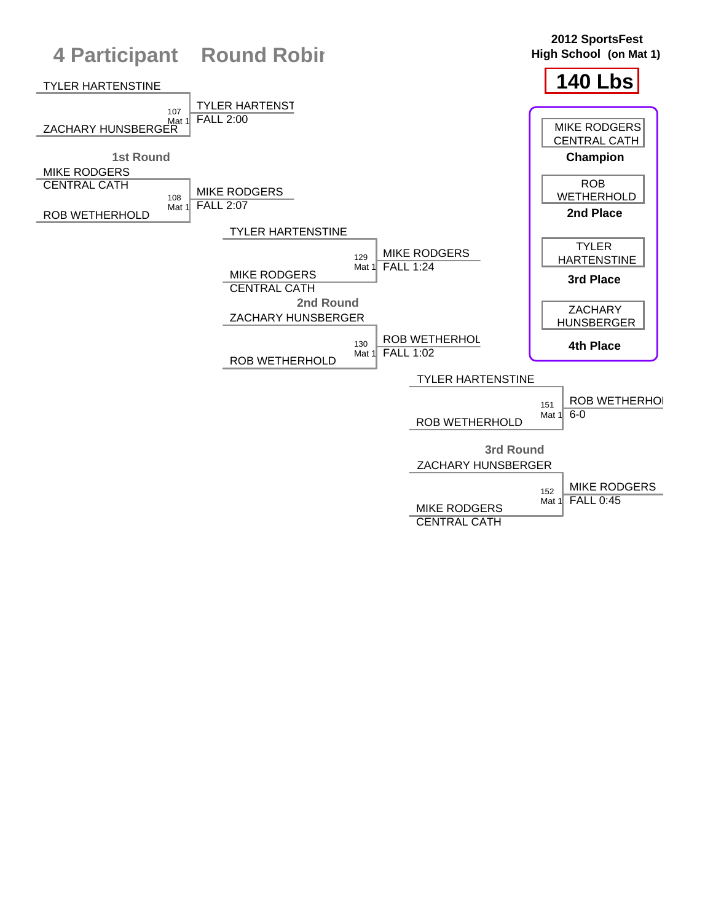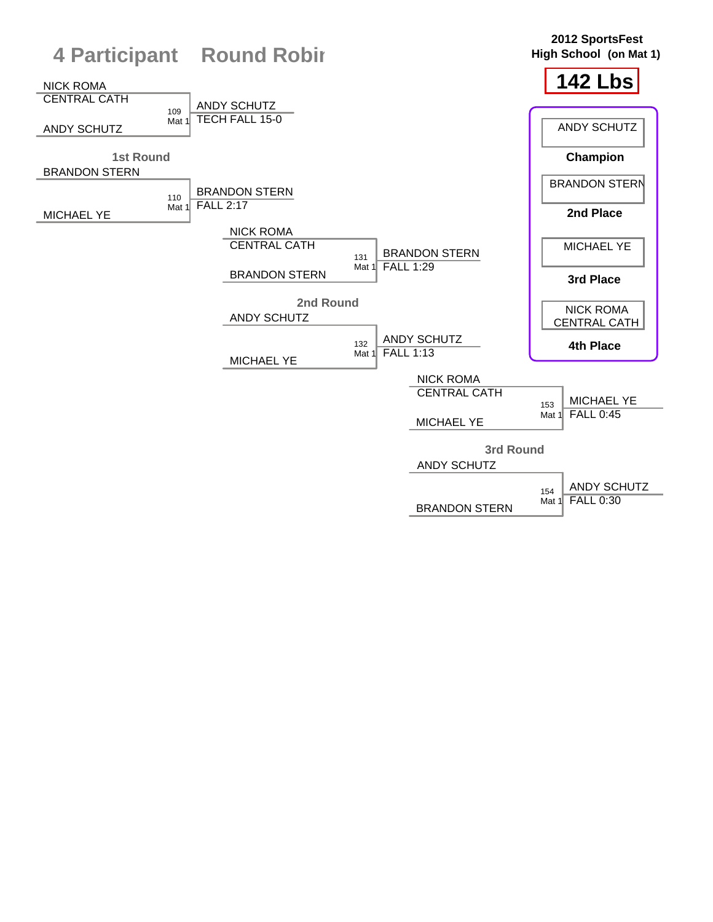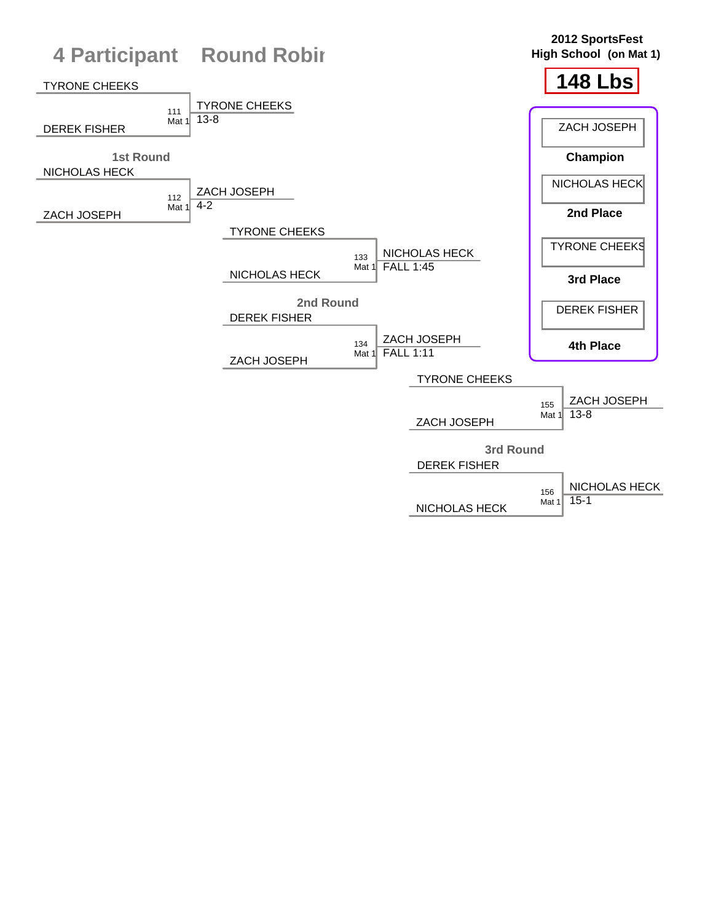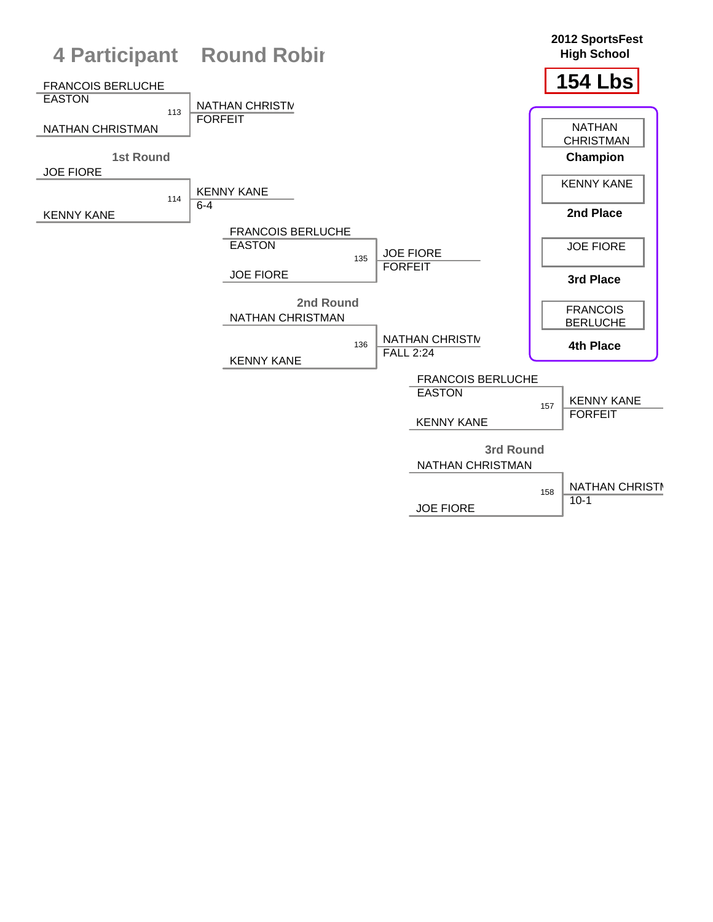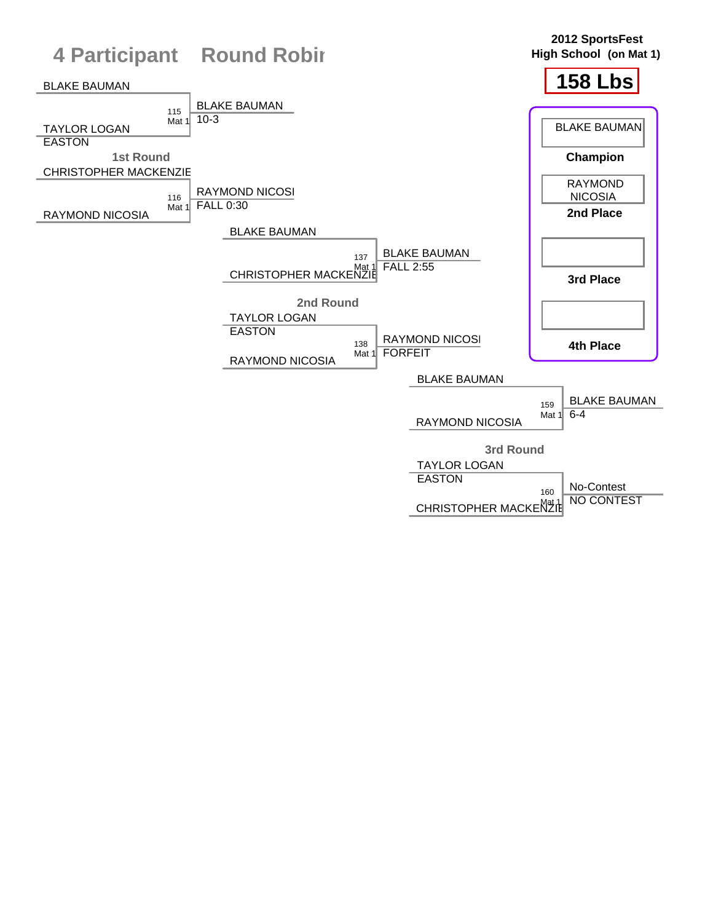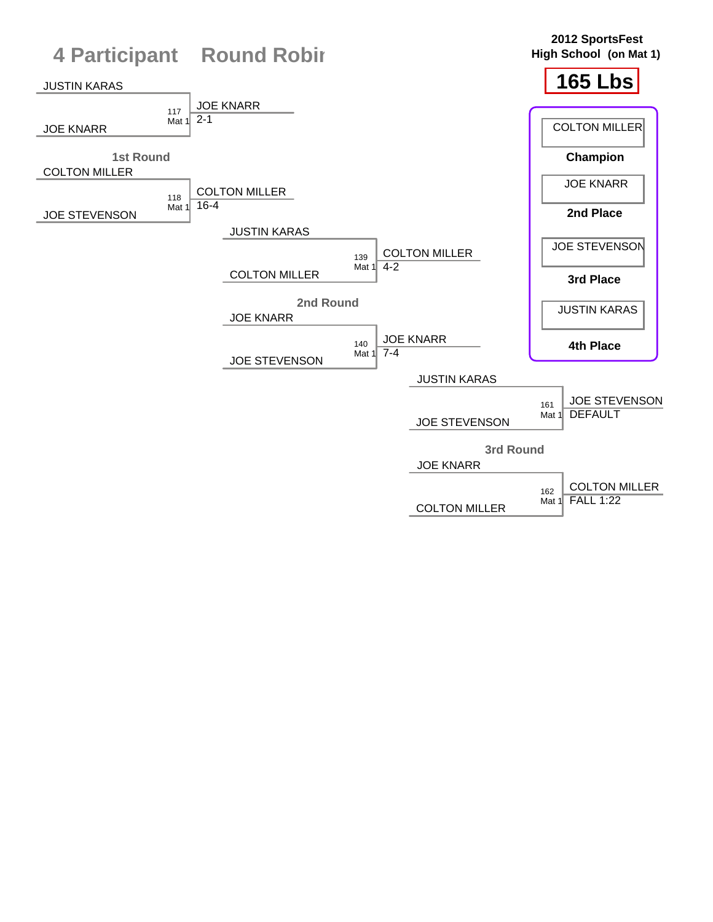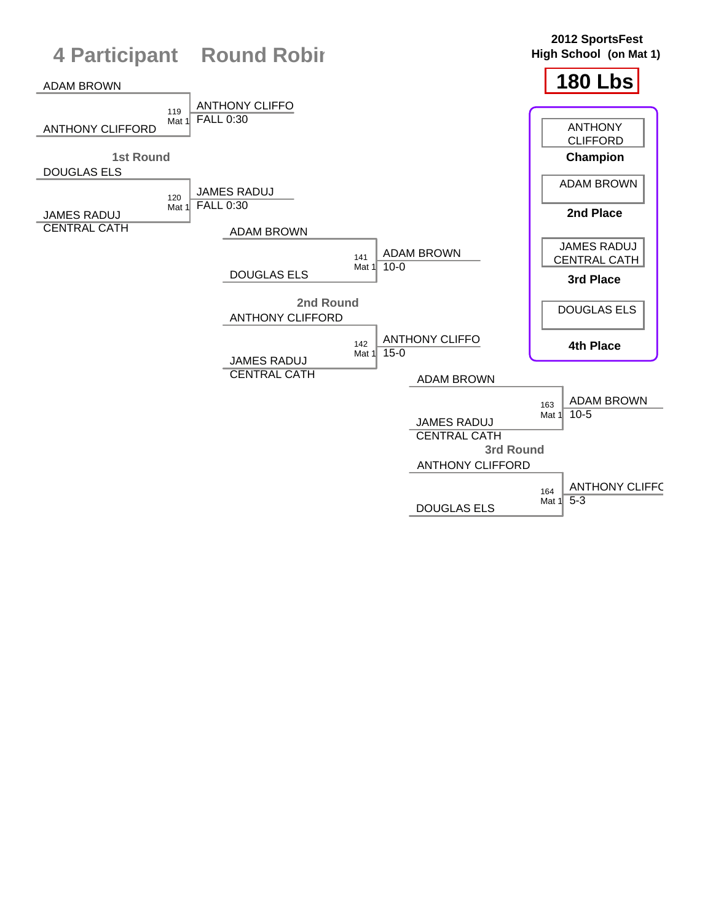